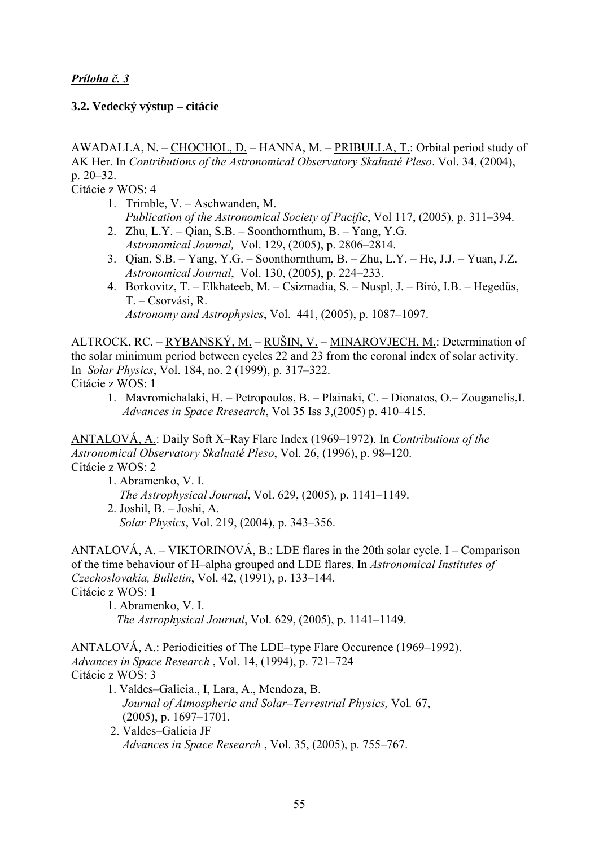## **3.2. Vedecký výstup – citácie**

AWADALLA, N. – CHOCHOL, D. – HANNA, M. – PRIBULLA, T.: Orbital period study of AK Her. In *Contributions of the Astronomical Observatory Skalnaté Pleso*. Vol. 34, (2004), p. 20–32.

Citácie z WOS: 4

- 1. Trimble, V. Aschwanden, M. *Publication of the Astronomical Society of Pacific*, Vol 117, (2005), p. 311–394.
- 2. Zhu, L.Y. Qian, S.B. Soonthornthum, B. Yang, Y.G. *Astronomical Journal,* Vol. 129, (2005), p. 2806–2814.
- 3. Qian, S.B. Yang, Y.G. Soonthornthum, B. Zhu, L.Y. He, J.J. Yuan, J.Z. *Astronomical Journal*, Vol. 130, (2005), p. 224–233.
- 4. Borkovitz, T. Elkhateeb, M. Csizmadia, S. Nuspl, J. Bíró, I.B. Hegedüs, T. – Csorvási, R. *Astronomy and Astrophysics*, Vol. 441, (2005), p. 1087–1097.

ALTROCK, RC. – RYBANSKÝ, M. – RUŠIN, V. – MINAROVJECH, M.: Determination of the solar minimum period between cycles 22 and 23 from the coronal index of solar activity. In *Solar Physics*, Vol. 184, no. 2 (1999), p. 317–322. Citácie z WOS: 1

1. Mavromichalaki, H. – Petropoulos, B. – Plainaki, C. – Dionatos, O.– Zouganelis,I. *Advances in Space Rresearch*, Vol 35 Iss 3,(2005) p. 410–415.

ANTALOVÁ, A.: Daily Soft X–Ray Flare Index (1969–1972). In *Contributions of the Astronomical Observatory Skalnaté Pleso*, Vol. 26, (1996), p. 98–120. Citácie z WOS: 2

- 1. Abramenko, V. I.
	- *The Astrophysical Journal*, Vol. 629, (2005), p. 1141–1149.
	- 2. Joshil, B. Joshi, A. *Solar Physics*, Vol. 219, (2004), p. 343–356.

ANTALOVÁ, A. – VIKTORINOVÁ, B.: LDE flares in the 20th solar cycle. I – Comparison of the time behaviour of H–alpha grouped and LDE flares. In *Astronomical Institutes of Czechoslovakia, Bulletin*, Vol. 42, (1991), p. 133–144. Citácie z WOS: 1

- 1. Abramenko, V. I.
- *The Astrophysical Journal*, Vol. 629, (2005), p. 1141–1149.

ANTALOVÁ, A.: Periodicities of The LDE–type Flare Occurence (1969–1992). *Advances in Space Research* , Vol. 14, (1994), p. 721–724 Citácie z WOS: 3

- 1. Valdes–Galicia., I, Lara, A., Mendoza, B. *Journal of Atmospheric and Solar–Terrestrial Physics,* Vol*.* 67, (2005), p. 1697–1701.
- 2. Valdes–Galicia JF *Advances in Space Research* , Vol. 35, (2005), p. 755–767.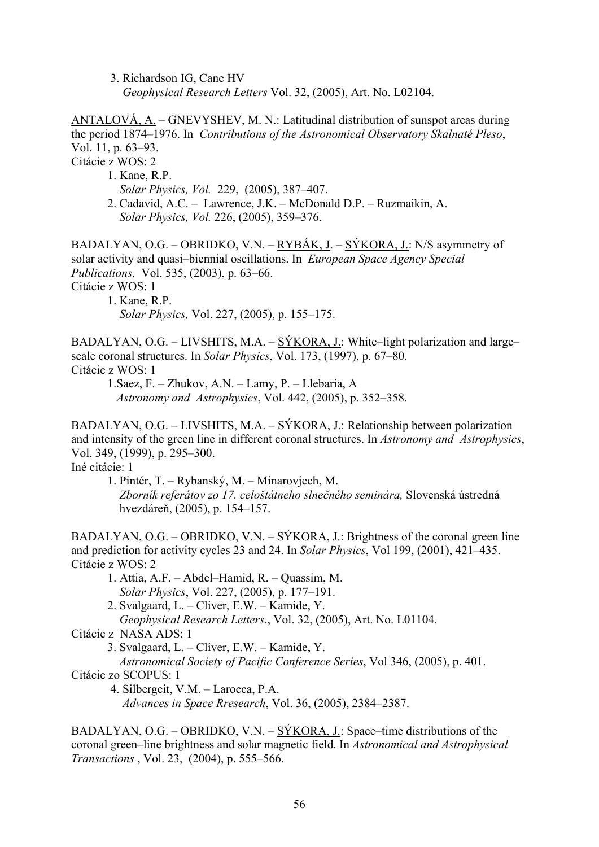3. Richardson IG, Cane HV *Geophysical Research Letters* Vol. 32, (2005), Art. No. L02104.

ANTALOVÁ, A. – GNEVYSHEV, M. N.: Latitudinal distribution of sunspot areas during the period 1874–1976. In *Contributions of the Astronomical Observatory Skalnaté Pleso*, Vol. 11, p. 63–93.

Citácie z WOS: 2

1. Kane, R.P.

 *Solar Physics, Vol.* 229, (2005), 387–407.

 2. Cadavid, A.C. – Lawrence, J.K. – McDonald D.P. – Ruzmaikin, A. *Solar Physics, Vol.* 226, (2005), 359–376.

BADALYAN, O.G. – OBRIDKO, V.N. – RYBÁK, J. – SÝKORA, J.: N/S asymmetry of solar activity and quasi–biennial oscillations. In *European Space Agency Special Publications,* Vol. 535, (2003), p. 63–66.

Citácie z WOS: 1

 1. Kane, R.P. *Solar Physics,* Vol. 227, (2005), p. 155–175.

BADALYAN, O.G. – LIVSHITS, M.A. – SÝKORA, J.: White–light polarization and large– scale coronal structures. In *Solar Physics*, Vol. 173, (1997), p. 67–80. Citácie z WOS: 1

1.Saez, F. – Zhukov, A.N. – Lamy, P. – Llebaria, A *Astronomy and Astrophysics*, Vol. 442, (2005), p. 352–358.

BADALYAN, O.G. – LIVSHITS, M.A. – SÝKORA, J.: Relationship between polarization and intensity of the green line in different coronal structures. In *Astronomy and Astrophysics*, Vol. 349, (1999), p. 295–300.

Iné citácie: 1

1. Pintér, T. – Rybanský, M. – Minarovjech, M.

 *Zborník referátov zo 17. celoštátneho slnečného seminára,* Slovenská ústredná hvezdáreň, (2005), p. 154–157.

BADALYAN, O.G. – OBRIDKO, V.N. –  $S{\prime}$ KORA, J.: Brightness of the coronal green line and prediction for activity cycles 23 and 24. In *Solar Physics*, Vol 199, (2001), 421–435. Citácie z WOS: 2

- 1. Attia, A.F. Abdel–Hamid, R. Quassim, M. *Solar Physics*, Vol. 227, (2005), p. 177–191.
- 2. Svalgaard, L. Cliver, E.W. Kamide, Y.

*Geophysical Research Letters*., Vol. 32, (2005), Art. No. L01104.

Citácie z NASA ADS: 1

3. Svalgaard, L. – Cliver, E.W. – Kamide, Y.

*Astronomical Society of Pacific Conference Series*, Vol 346, (2005), p. 401.

Citácie zo SCOPUS: 1

 4. Silbergeit, V.M. – Larocca, P.A. *Advances in Space Rresearch*, Vol. 36, (2005), 2384–2387.

BADALYAN, O.G. – OBRIDKO, V.N. – SÝKORA, J.: Space–time distributions of the coronal green–line brightness and solar magnetic field. In *Astronomical and Astrophysical Transactions* , Vol. 23, (2004), p. 555–566.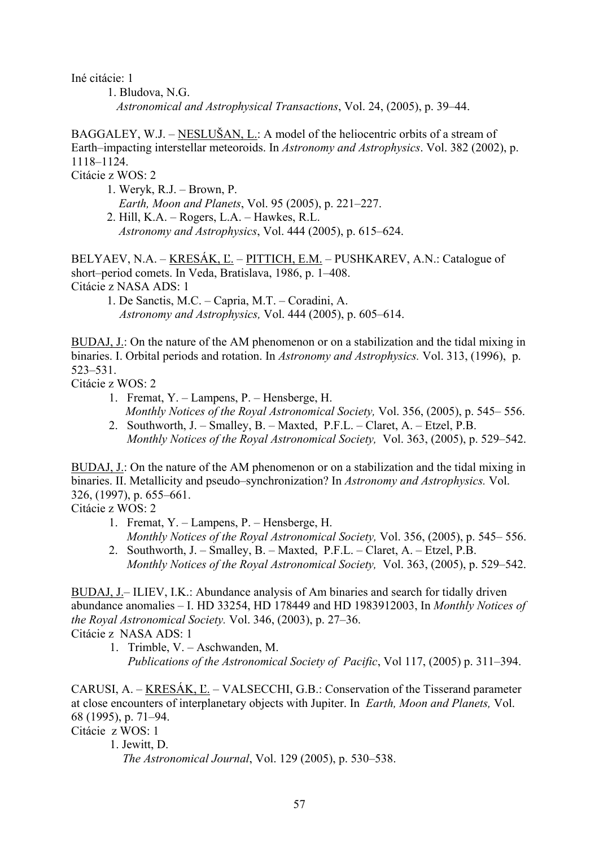Iné citácie: 1

1. Bludova, N.G. *Astronomical and Astrophysical Transactions*, Vol. 24, (2005), p. 39–44.

BAGGALEY, W.J. – NESLUŠAN, L.: A model of the heliocentric orbits of a stream of Earth–impacting interstellar meteoroids. In *Astronomy and Astrophysics*. Vol. 382 (2002), p. 1118–1124.

Citácie z WOS: 2

1. Weryk, R.J. – Brown, P.  *Earth, Moon and Planets*, Vol. 95 (2005), p. 221–227. 2. Hill, K.A. – Rogers, L.A. – Hawkes, R.L.

 *Astronomy and Astrophysics*, Vol. 444 (2005), p. 615–624.

BELYAEV, N.A. – KRESÁK, Ľ. – PITTICH, E.M. – PUSHKAREV, A.N.: Catalogue of short–period comets. In Veda, Bratislava, 1986, p. 1–408. Citácie z NASA ADS: 1

1. De Sanctis, M.C. – Capria, M.T. – Coradini, A. *Astronomy and Astrophysics,* Vol. 444 (2005), p. 605–614.

BUDAJ, J.: On the nature of the AM phenomenon or on a stabilization and the tidal mixing in binaries. I. Orbital periods and rotation. In *Astronomy and Astrophysics.* Vol. 313, (1996), p. 523–531.

Citácie z WOS: 2

- 1. Fremat, Y. Lampens, P. Hensberge, H. *Monthly Notices of the Royal Astronomical Society,* Vol. 356, (2005), p. 545– 556.
- 2. Southworth, J. Smalley, B. Maxted, P.F.L. Claret, A. Etzel, P.B. *Monthly Notices of the Royal Astronomical Society,* Vol. 363, (2005), p. 529–542.

BUDAJ, J.: On the nature of the AM phenomenon or on a stabilization and the tidal mixing in binaries. II. Metallicity and pseudo–synchronization? In *Astronomy and Astrophysics.* Vol. 326, (1997), p. 655–661.

Citácie z WOS: 2

- 1. Fremat, Y. Lampens, P. Hensberge, H. *Monthly Notices of the Royal Astronomical Society,* Vol. 356, (2005), p. 545– 556.
- 2. Southworth, J. Smalley, B. Maxted, P.F.L. Claret, A. Etzel, P.B. *Monthly Notices of the Royal Astronomical Society,* Vol. 363, (2005), p. 529–542.

BUDAJ, J.– ILIEV, I.K.: Abundance analysis of Am binaries and search for tidally driven abundance anomalies – I. HD 33254, HD 178449 and HD 1983912003, In *Monthly Notices of the Royal Astronomical Society.* Vol. 346, (2003), p. 27–36. Citácie z NASA ADS: 1

1. Trimble, V. – Aschwanden, M. *Publications of the Astronomical Society of Pacific*, Vol 117, (2005) p. 311–394.

CARUSI, A. – KRESÁK, Ľ. – VALSECCHI, G.B.: Conservation of the Tisserand parameter at close encounters of interplanetary objects with Jupiter. In *Earth, Moon and Planets,* Vol. 68 (1995), p. 71–94.

Citácie z WOS: 1

1. Jewitt, D.

*The Astronomical Journal*, Vol. 129 (2005), p. 530–538.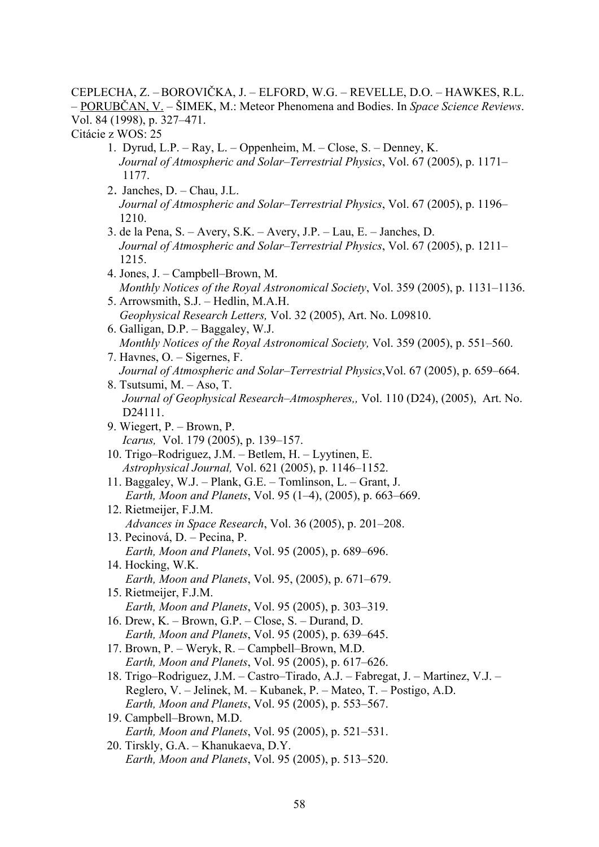CEPLECHA, Z. –BOROVIČKA, J. – ELFORD, W.G. – REVELLE, D.O. – HAWKES, R.L. – PORUBČAN, V. – ŠIMEK, M.: Meteor Phenomena and Bodies. In *Space Science Reviews*. Vol. 84 (1998), p. 327–471.

Citácie z WOS: 25

- 1. Dyrud, L.P. Ray, L. Oppenheim, M. Close, S. Denney, K. *Journal of Atmospheric and Solar–Terrestrial Physics*, Vol. 67 (2005), p. 1171– 1177.
- 2. Janches, D. Chau, J.L. *Journal of Atmospheric and Solar–Terrestrial Physics*, Vol. 67 (2005), p. 1196– 1210.
- 3. de la Pena, S. Avery, S.K. Avery, J.P. Lau, E. Janches, D. *Journal of Atmospheric and Solar–Terrestrial Physics*, Vol. 67 (2005), p. 1211– 1215.
- 4. Jones, J. Campbell–Brown, M. *Monthly Notices of the Royal Astronomical Society*, Vol. 359 (2005), p. 1131–1136.
- 5. Arrowsmith, S.J. Hedlin, M.A.H. *Geophysical Research Letters,* Vol. 32 (2005), Art. No. L09810.
- 6. Galligan, D.P. Baggaley, W.J. *Monthly Notices of the Royal Astronomical Society,* Vol. 359 (2005), p. 551–560.
- 7. Havnes, O. Sigernes, F. *Journal of Atmospheric and Solar–Terrestrial Physics*,Vol. 67 (2005), p. 659–664.
- 8. Tsutsumi, M. Aso, T. *Journal of Geophysical Research–Atmospheres,,* Vol. 110 (D24), (2005), Art. No. D24111.
- 9. Wiegert, P. Brown, P. *Icarus,* Vol. 179 (2005), p. 139–157.
- 10. Trigo–Rodriguez, J.M. Betlem, H. Lyytinen, E. *Astrophysical Journal,* Vol. 621 (2005), p. 1146–1152.
- 11. Baggaley, W.J. Plank, G.E. Tomlinson, L. Grant, J. *Earth, Moon and Planets*, Vol. 95 (1–4), (2005), p. 663–669.
- 12. Rietmeijer, F.J.M. *Advances in Space Research*, Vol. 36 (2005), p. 201–208.
- 13. Pecinová, D. Pecina, P. *Earth, Moon and Planets*, Vol. 95 (2005), p. 689–696.
- 14. Hocking, W.K. *Earth, Moon and Planets*, Vol. 95, (2005), p. 671–679. 15. Rietmeijer, F.J.M.
- *Earth, Moon and Planets*, Vol. 95 (2005), p. 303–319.
- 16. Drew, K. Brown, G.P. Close, S. Durand, D. *Earth, Moon and Planets*, Vol. 95 (2005), p. 639–645.
- 17. Brown, P. Weryk, R. Campbell–Brown, M.D. *Earth, Moon and Planets*, Vol. 95 (2005), p. 617–626.
- 18. Trigo–Rodriguez, J.M. Castro–Tirado, A.J. Fabregat, J. Martinez, V.J. Reglero, V. – Jelinek, M. – Kubanek, P. – Mateo, T. – Postigo, A.D. *Earth, Moon and Planets*, Vol. 95 (2005), p. 553–567.
- 19. Campbell–Brown, M.D. *Earth, Moon and Planets*, Vol. 95 (2005), p. 521–531.
- 20. Tirskly, G.A. Khanukaeva, D.Y. *Earth, Moon and Planets*, Vol. 95 (2005), p. 513–520.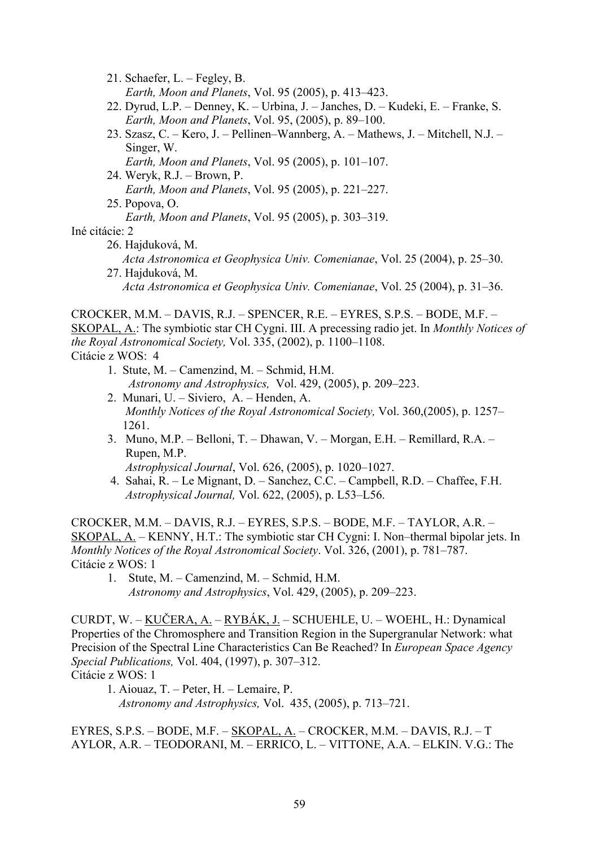- 21. Schaefer, L. Fegley, B. *Earth, Moon and Planets*, Vol. 95 (2005), p. 413–423.
- 22. Dyrud, L.P. Denney, K. Urbina, J. Janches, D. Kudeki, E. Franke, S. *Earth, Moon and Planets*, Vol. 95, (2005), p. 89–100.
- 23. Szasz, C. Kero, J. Pellinen–Wannberg, A. Mathews, J. Mitchell, N.J. Singer, W.
	- *Earth, Moon and Planets*, Vol. 95 (2005), p. 101–107.
- 24. Weryk, R.J. Brown, P. *Earth, Moon and Planets*, Vol. 95 (2005), p. 221–227. 25. Popova, O.
	- *Earth, Moon and Planets*, Vol. 95 (2005), p. 303–319.

Iné citácie: 2

- 26. Hajduková, M. *Acta Astronomica et Geophysica Univ. Comenianae*, Vol. 25 (2004), p. 25–30. 27. Hajduková, M.
	- *Acta Astronomica et Geophysica Univ. Comenianae*, Vol. 25 (2004), p. 31–36.

CROCKER, M.M. – DAVIS, R.J. – SPENCER, R.E. – EYRES, S.P.S. – BODE, M.F. – SKOPAL, A.: The symbiotic star CH Cygni. III. A precessing radio jet. In *Monthly Notices of the Royal Astronomical Society,* Vol. 335, (2002), p. 1100–1108.

Citácie z WOS: 4

- 1. Stute, M. Camenzind, M. Schmid, H.M. *Astronomy and Astrophysics,* Vol. 429, (2005), p. 209–223.
- 2. Munari, U. Siviero, A. Henden, A. *Monthly Notices of the Royal Astronomical Society,* Vol. 360,(2005), p. 1257– 1261.
- 3. Muno, M.P. Belloni, T. Dhawan, V. Morgan, E.H. Remillard, R.A. Rupen, M.P.

*Astrophysical Journal*, Vol. 626, (2005), p. 1020–1027.

 4. Sahai, R. – Le Mignant, D. – Sanchez, C.C. – Campbell, R.D. – Chaffee, F.H. *Astrophysical Journal,* Vol. 622, (2005), p. L53–L56.

CROCKER, M.M. – DAVIS, R.J. – EYRES, S.P.S. – BODE, M.F. – TAYLOR, A.R. – SKOPAL, A. – KENNY, H.T.: The symbiotic star CH Cygni: I. Non–thermal bipolar jets. In *Monthly Notices of the Royal Astronomical Society*. Vol. 326, (2001), p. 781–787. Citácie z WOS: 1

 1. Stute, M. – Camenzind, M. – Schmid, H.M. *Astronomy and Astrophysics*, Vol. 429, (2005), p. 209–223.

CURDT, W. – KUČERA, A. – RYBÁK, J. – SCHUEHLE, U. – WOEHL, H.: Dynamical Properties of the Chromosphere and Transition Region in the Supergranular Network: what Precision of the Spectral Line Characteristics Can Be Reached? In *European Space Agency Special Publications,* Vol. 404, (1997), p. 307–312. Citácie z WOS: 1

1. Aiouaz, T. – Peter, H. – Lemaire, P. *Astronomy and Astrophysics,* Vol. 435, (2005), p. 713–721.

EYRES, S.P.S. – BODE, M.F. – SKOPAL, A. – CROCKER, M.M. – DAVIS, R.J. – T AYLOR, A.R. – TEODORANI, M. – ERRICO, L. – VITTONE, A.A. – ELKIN. V.G.: The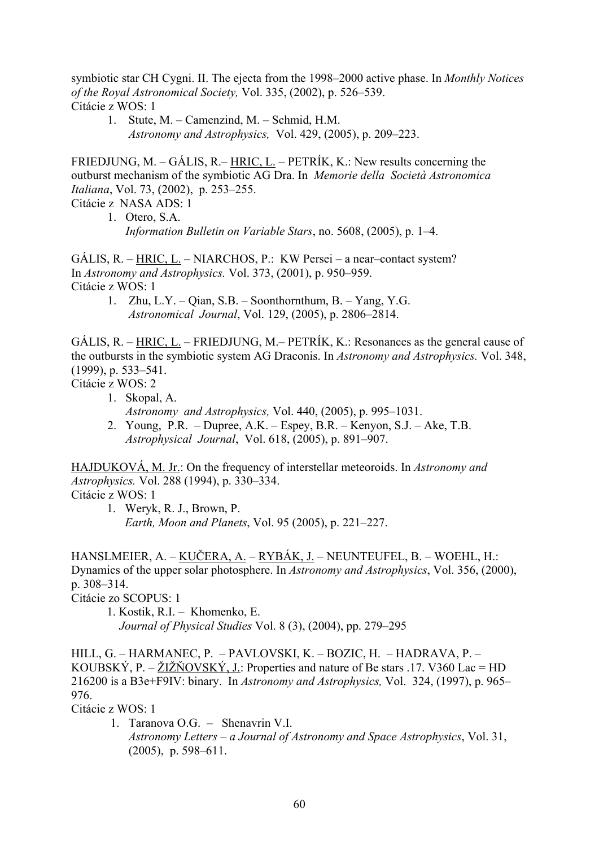symbiotic star CH Cygni. II. The ejecta from the 1998–2000 active phase. In *Monthly Notices of the Royal Astronomical Society,* Vol. 335, (2002), p. 526–539. Citácie z WOS: 1

 1. Stute, M. – Camenzind, M. – Schmid, H.M. *Astronomy and Astrophysics,* Vol. 429, (2005), p. 209–223.

FRIEDJUNG, M. – GÁLIS, R. – HRIC, L. – PETRÍK, K.: New results concerning the outburst mechanism of the symbiotic AG Dra. In *Memorie della Società Astronomica Italiana*, Vol. 73, (2002), p. 253–255.

Citácie z NASA ADS: 1

1. Otero, S.A. *Information Bulletin on Variable Stars*, no. 5608, (2005), p. 1–4.

GÁLIS, R. – HRIC, L. – NIARCHOS, P.: KW Persei – a near–contact system? In *Astronomy and Astrophysics.* Vol. 373, (2001), p. 950–959. Citácie z WOS: 1

 1. Zhu, L.Y. – Qian, S.B. – Soonthornthum, B. – Yang, Y.G.  *Astronomical Journal*, Vol. 129, (2005), p. 2806–2814.

GÁLIS, R. – HRIC, L. – FRIEDJUNG, M.– PETRÍK, K.: Resonances as the general cause of the outbursts in the symbiotic system AG Draconis. In *Astronomy and Astrophysics.* Vol. 348, (1999), p. 533–541.

Citácie z WOS: 2

- 1. Skopal, A. *Astronomy and Astrophysics,* Vol. 440, (2005), p. 995–1031.
- 2. Young, P.R. Dupree, A.K. Espey, B.R. Kenyon, S.J. Ake, T.B.  *Astrophysical Journal*, Vol. 618, (2005), p. 891–907.

HAJDUKOVÁ, M. Jr.: On the frequency of interstellar meteoroids. In *Astronomy and Astrophysics.* Vol. 288 (1994), p. 330–334. Citácie z WOS: 1

1. Weryk, R. J., Brown, P. *Earth, Moon and Planets*, Vol. 95 (2005), p. 221–227.

HANSLMEIER, A. – KUČERA, A. – RYBÁK, J. – NEUNTEUFEL, B. – WOEHL, H.: Dynamics of the upper solar photosphere. In *Astronomy and Astrophysics*, Vol. 356, (2000), p. 308–314.

Citácie zo SCOPUS: 1

1. Kostik, R.I. – Khomenko, E. *Journal of Physical Studies* Vol. 8 (3), (2004), pp. 279–295

HILL, G. – HARMANEC, P. – [PAVLOVSKI, K. –](http://apps.isiknowledge.com/WoS/CIW.cgi?SID=U2Gi7j3l9np74fbE4dJ&Func=OneClickSearch&field=AU&val=Pavlovski+K&ut=A1997XT42200026&auloc=3&curr_doc=20/1&Form=FullRecordPage&doc=20/1) [BOZIC, H.](http://apps.isiknowledge.com/WoS/CIW.cgi?SID=U2Gi7j3l9np74fbE4dJ&Func=OneClickSearch&field=AU&val=Bozic+H&ut=A1997XT42200026&auloc=4&curr_doc=20/1&Form=FullRecordPage&doc=20/1) – HADRAVA, P. – KOUBSKÝ, P. – ŽIŽŇOVSKÝ, J.: Properties and nature of Be stars .17. V360 Lac = HD 216200 is a B3e+F9IV: binary. In *Astronomy and Astrophysics,* Vol. 324, (1997), p. 965– 976.

Citácie z WOS: 1

 1. Taranova O.G. – Shenavrin V.I. *Astronomy Letters – a Journal of Astronomy and Space Astrophysics*, Vol. 31, (2005), p. 598–611.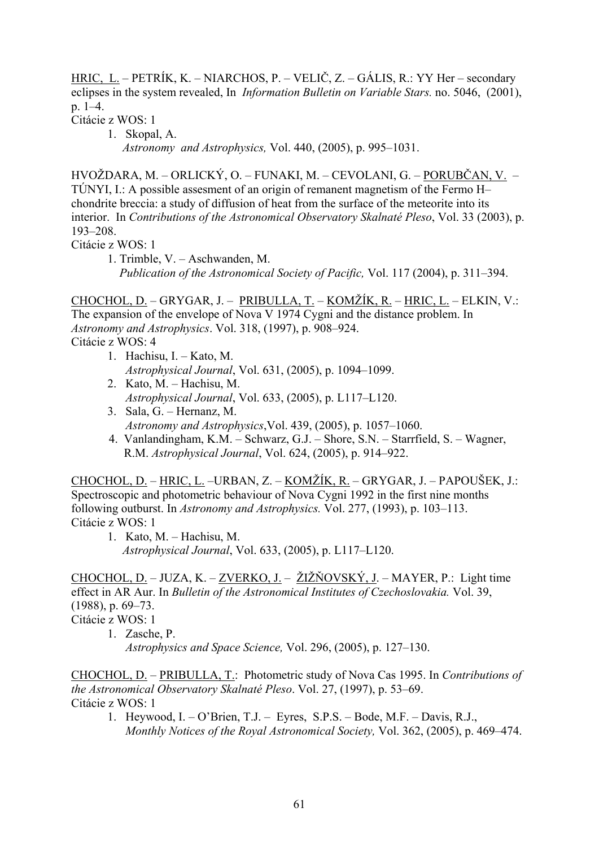HRIC, L. – PETRÍK, K. – NIARCHOS, P. – VELIČ, Z. – GÁLIS, R.: YY Her – secondary eclipses in the system revealed, In *Information Bulletin on Variable Stars.* no. 5046, (2001), p. 1–4.

Citácie z WOS: 1

 1. Skopal, A. *Astronomy and Astrophysics,* Vol. 440, (2005), p. 995–1031.

HVOŽDARA, M. – ORLICKÝ, O. – FUNAKI, M. – CEVOLANI, G. – PORUBČAN, V. – TÚNYI, I.: A possible assesment of an origin of remanent magnetism of the Fermo H– chondrite breccia: a study of diffusion of heat from the surface of the meteorite into its interior. In *Contributions of the Astronomical Observatory Skalnaté Pleso*, Vol. 33 (2003), p. 193–208.

Citácie z WOS: 1

 1. Trimble, V. – Aschwanden, M. *Publication of the Astronomical Society of Pacific,* Vol. 117 (2004), p. 311–394.

CHOCHOL, D. – GRYGAR, J. – PRIBULLA, T. – KOMŽÍK, R. – HRIC, L. – ELKIN, V.: The expansion of the envelope of Nova V 1974 Cygni and the distance problem. In *Astronomy and Astrophysics*. Vol. 318, (1997), p. 908–924. Citácie z WOS: 4

- 1. Hachisu, I. Kato, M. *Astrophysical Journal*, Vol. 631, (2005), p. 1094–1099.
- 2. Kato, M. Hachisu, M. *Astrophysical Journal*, Vol. 633, (2005), p. L117–L120.
- 3. Sala, G. Hernanz, M. *Astronomy and Astrophysics*,Vol. 439, (2005), p. 1057–1060.
- 4. Vanlandingham, K.M. Schwarz, G.J. Shore, S.N. Starrfield, S. Wagner, R.M. *Astrophysical Journal*, Vol. 624, (2005), p. 914–922.

CHOCHOL, D. – HRIC, L. –URBAN, Z. – KOMŽÍK, R. – GRYGAR, J. – PAPOUŠEK, J.: Spectroscopic and photometric behaviour of Nova Cygni 1992 in the first nine months following outburst. In *Astronomy and Astrophysics.* Vol. 277, (1993), p. 103–113. Citácie z WOS: 1

 1. Kato, M. – Hachisu, M. *Astrophysical Journal*, Vol. 633, (2005), p. L117–L120.

CHOCHOL, D. – JUZA, K. – ZVERKO, J. – ŽIŽŇOVSKÝ, J. – MAYER, P.: Light time effect in AR Aur. In *Bulletin of the Astronomical Institutes of Czechoslovakia.* Vol. 39, (1988), p. 69–73. Citácie z WOS: 1

1. Zasche, P. *Astrophysics and Space Science,* Vol. 296, (2005), p. 127–130.

CHOCHOL, D. – PRIBULLA, T.: Photometric study of Nova Cas 1995. In *Contributions of the Astronomical Observatory Skalnaté Pleso*. Vol. 27, (1997), p. 53–69. Citácie z WOS: 1

1. Heywood, I. – O'Brien, T.J. – Eyres, S.P.S. – Bode, M.F. – Davis, R.J., *Monthly Notices of the Royal Astronomical Society,* Vol. 362, (2005), p. 469–474.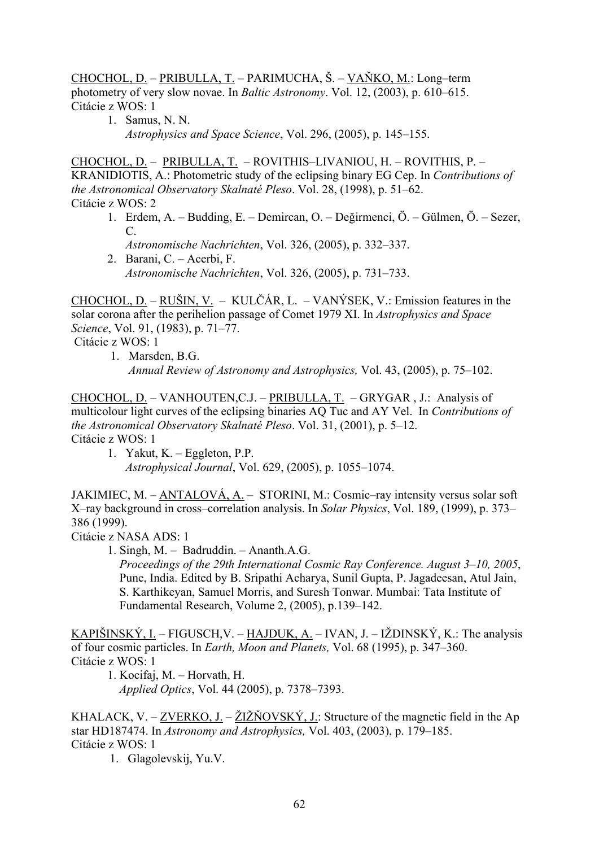CHOCHOL, D. – PRIBULLA, T. – PARIMUCHA, Š. – VAŇKO, M.: Long–term photometry of very slow novae. In *Baltic Astronomy*. Vol. 12, (2003), p. 610–615. Citácie z WOS: 1

1. Samus, N. N. *Astrophysics and Space Science*, Vol. 296, (2005), p. 145–155.

CHOCHOL, D. – PRIBULLA, T. – ROVITHIS–LIVANIOU, H. – ROVITHIS, P. – KRANIDIOTIS, A.: Photometric study of the eclipsing binary EG Cep. In *Contributions of the Astronomical Observatory Skalnaté Pleso*. Vol. 28, (1998), p. 51–62. Citácie z WOS: 2

- 1. Erdem, A. Budding, E. Demircan, O. Değirmenci, Ö. Gülmen, Ö. Sezer, C. *Astronomische Nachrichten*, Vol. 326, (2005), p. 332–337.
- 2. Barani, C. Acerbi, F. *Astronomische Nachrichten*, Vol. 326, (2005), p. 731–733.

CHOCHOL, D. – RUŠIN, V. – KULČÁR, L. – VANÝSEK, V.: Emission features in the solar corona after the perihelion passage of Comet 1979 XI. In *Astrophysics and Space Science*, Vol. 91, (1983), p. 71–77.

Citácie z WOS: 1

1. Marsden, B.G.

*Annual Review of Astronomy and Astrophysics,* Vol. 43, (2005), p. 75–102.

CHOCHOL, D. – VANHOUTEN,C.J. – PRIBULLA, T. – GRYGAR , J.: Analysis of multicolour light curves of the eclipsing binaries AQ Tuc and AY Vel. In *Contributions of the Astronomical Observatory Skalnaté Pleso*. Vol. 31, (2001), p. 5–12. Citácie z WOS: 1

1. Yakut, K. – Eggleton, P.P.

*Astrophysical Journal*, Vol. 629, (2005), p. 1055–1074.

JAKIMIEC, M. – ANTALOVÁ, A. – STORINI, M.: Cosmic–ray intensity versus solar soft X–ray background in cross–correlation analysis. In *Solar Physics*, Vol. 189, (1999), p. 373– 386 (1999).

Citácie z NASA ADS: 1

1. Singh, M. – Badruddin. – Ananth.A.G.

*Proceedings of the 29th International Cosmic Ray Conference. August 3–10, 2005*, Pune, India. Edited by B. Sripathi Acharya, Sunil Gupta, P. Jagadeesan, Atul Jain, S. Karthikeyan, Samuel Morris, and Suresh Tonwar. Mumbai: Tata Institute of Fundamental Research, Volume 2, (2005), p.139–142.

KAPIŠINSKÝ, I. – FIGUSCH,V. – HAJDUK, A. – IVAN, J. – IŽDINSKÝ, K.: The analysis of four cosmic particles. In *Earth, Moon and Planets,* Vol. 68 (1995), p. 347–360. Citácie z WOS: 1

1. Kocifaj, M. – Horvath, H.

*Applied Optics*, Vol. 44 (2005), p. 7378–7393.

KHALACK, V. – ZVERKO, J. – ŽIŽŇOVSKÝ, J.: Structure of the magnetic field in the Ap star HD187474. In *Astronomy and Astrophysics,* Vol. 403, (2003), p. 179–185. Citácie z WOS: 1

1. Glagolevskij, Yu.V.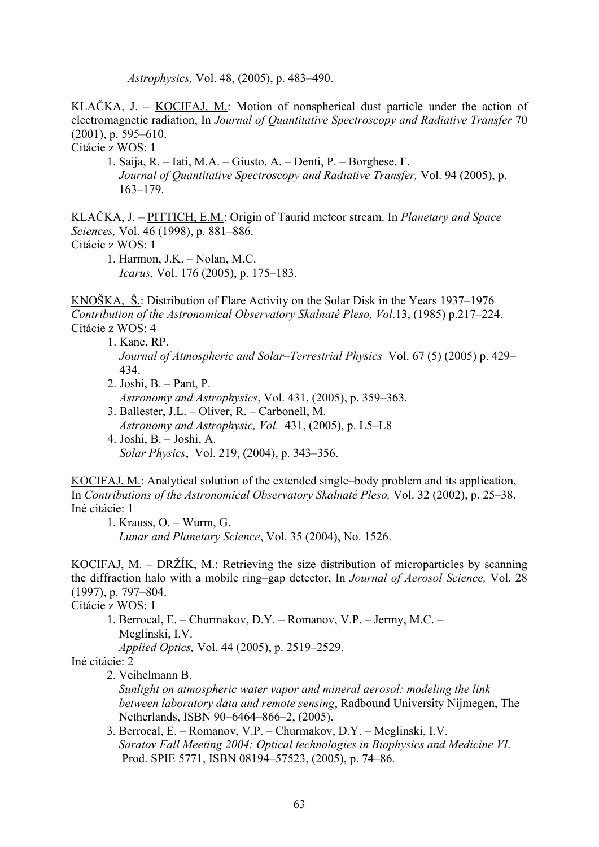*Astrophysics,* Vol. 48, (2005), p. 483–490.

KLAČKA, J. – KOCIFAJ, M.: Motion of nonspherical dust particle under the action of electromagnetic radiation, In *Journal of Quantitative Spectroscopy and Radiative Transfer* 70 (2001), p. 595–610.

Citácie z WOS: 1

1. Saija, R. – Iati, M.A. – Giusto, A. – Denti, P. – Borghese, F.  *Journal of Quantitative Spectroscopy and Radiative Transfer,* Vol. 94 (2005), p. 163–179.

KLAČKA, J. – PITTICH, E.M.: Origin of Taurid meteor stream. In *Planetary and Space Sciences,* Vol. 46 (1998), p. 881–886. Citácie z WOS: 1

1. Harmon, J.K. – Nolan, M.C. *Icarus,* Vol. 176 (2005), p. 175–183.

KNOŠKA, Š.: Distribution of Flare Activity on the Solar Disk in the Years 1937–1976 *Contribution of the Astronomical Observatory Skalnaté Pleso, Vol*.13, (1985) p.217–224. Citácie z WOS: 4

- 1. Kane, RP. *Journal of Atmospheric and Solar–Terrestrial Physics* Vol. 67 (5) (2005) p. 429– 434.
- 2. Joshi, B. Pant, P.  *Astronomy and Astrophysics*, Vol. 431, (2005), p. 359–363.
- 3. Ballester, J.L. Oliver, R. Carbonell, M.  *Astronomy and Astrophysic, Vol.* 431, (2005), p. L5–L8
- 4. Joshi, B. Joshi, A.  *Solar Physics*, Vol. 219, (2004), p. 343–356.

KOCIFAJ, M.: Analytical solution of the extended single–body problem and its application, In *Contributions of the Astronomical Observatory Skalnaté Pleso,* Vol. 32 (2002), p. 25–38. Iné citácie: 1

1. Krauss, O. – Wurm, G.

*Lunar and Planetary Science*, Vol. 35 (2004), No. 1526.

KOCIFAJ, M. – DRŽÍK, M.: Retrieving the size distribution of microparticles by scanning the diffraction halo with a mobile ring–gap detector, In *Journal of Aerosol Science,* Vol. 28 (1997), p. 797–804.

Citácie z WOS: 1

1. Berrocal, E. – Churmakov, D.Y. – Romanov, V.P. – Jermy, M.C. – Meglinski, I.V.

*Applied Optics,* Vol. 44 (2005), p. 2519–2529.

Iné citácie: 2

2. Veihelmann B.

 *Sunlight on atmospheric water vapor and mineral aerosol: modeling the link between laboratory data and remote sensing*, Radbound University Nijmegen, The Netherlands, ISBN 90–6464–866–2, (2005).

3. Berrocal, E. – Romanov, V.P. – Churmakov, D.Y. – Meglinski, I.V. *Saratov Fall Meeting 2004: Optical technologies in Biophysics and Medicine VI*. Prod. SPIE 5771, ISBN 08194–57523, (2005), p. 74–86.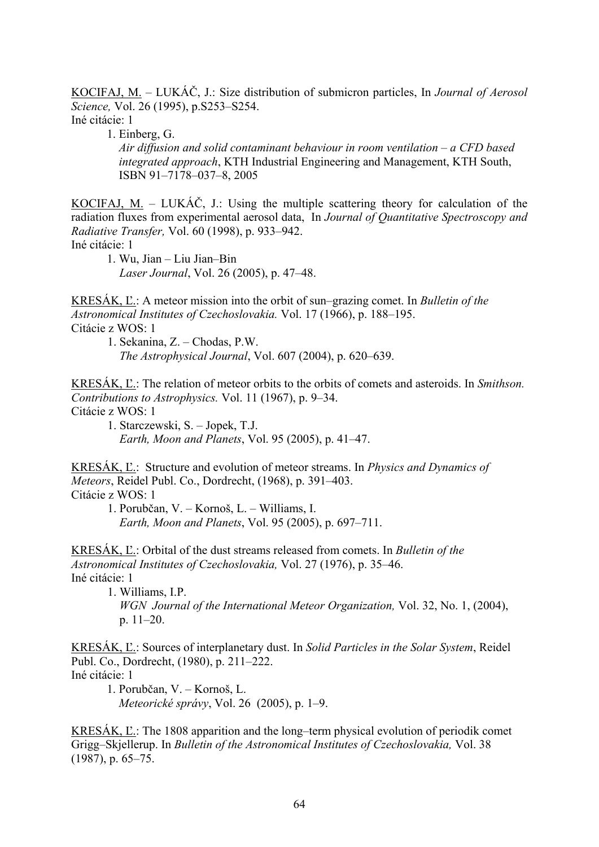KOCIFAJ, M. – LUKÁČ, J.: Size distribution of submicron particles, In *Journal of Aerosol Science,* Vol. 26 (1995), p.S253–S254.

Iné citácie: 1

1. Einberg, G.

 *Air diffusion and solid contaminant behaviour in room ventilation – a CFD based integrated approach*, KTH Industrial Engineering and Management, KTH South, ISBN 91–7178–037–8, 2005

KOCIFAJ, M. – LUKÁČ, J.: Using the multiple scattering theory for calculation of the radiation fluxes from experimental aerosol data, In *Journal of Quantitative Spectroscopy and Radiative Transfer,* Vol. 60 (1998), p. 933–942. Iné citácie: 1

1. Wu, Jian – Liu Jian–Bin *Laser Journal*, Vol. 26 (2005), p. 47–48.

KRESÁK, Ľ.: A meteor mission into the orbit of sun–grazing comet. In *Bulletin of the Astronomical Institutes of Czechoslovakia.* Vol. 17 (1966), p. 188–195. Citácie z WOS: 1

 1. Sekanina, Z. – Chodas, P.W. *The Astrophysical Journal*, Vol. 607 (2004), p. 620–639.

KRESÁK, Ľ.: The relation of meteor orbits to the orbits of comets and asteroids. In *Smithson. Contributions to Astrophysics.* Vol. 11 (1967), p. 9–34. Citácie z WOS: 1

 1. Starczewski, S. – Jopek, T.J. *Earth, Moon and Planets*, Vol. 95 (2005), p. 41–47.

KRESÁK, Ľ.: Structure and evolution of meteor streams. In *Physics and Dynamics of Meteors*, Reidel Publ. Co., Dordrecht, (1968), p. 391–403. Citácie z WOS: 1

 1. Porubčan, V. – Kornoš, L. – Williams, I. *Earth, Moon and Planets*, Vol. 95 (2005), p. 697–711.

KRESÁK, Ľ.: Orbital of the dust streams released from comets. In *Bulletin of the Astronomical Institutes of Czechoslovakia,* Vol. 27 (1976), p. 35–46. Iné citácie: 1

 1. Williams, I.P. *WGN Journal of the International Meteor Organization,* Vol. 32, No. 1, (2004), p. 11–20.

KRESÁK, Ľ.: Sources of interplanetary dust. In *Solid Particles in the Solar System*, Reidel Publ. Co., Dordrecht, (1980), p. 211–222. Iné citácie: 1

1. Porubčan, V. – Kornoš, L. *Meteorické správy*, Vol. 26 (2005), p. 1–9.

KRESÁK, Ľ.: The 1808 apparition and the long–term physical evolution of periodik comet Grigg–Skjellerup. In *Bulletin of the Astronomical Institutes of Czechoslovakia,* Vol. 38 (1987), p. 65–75.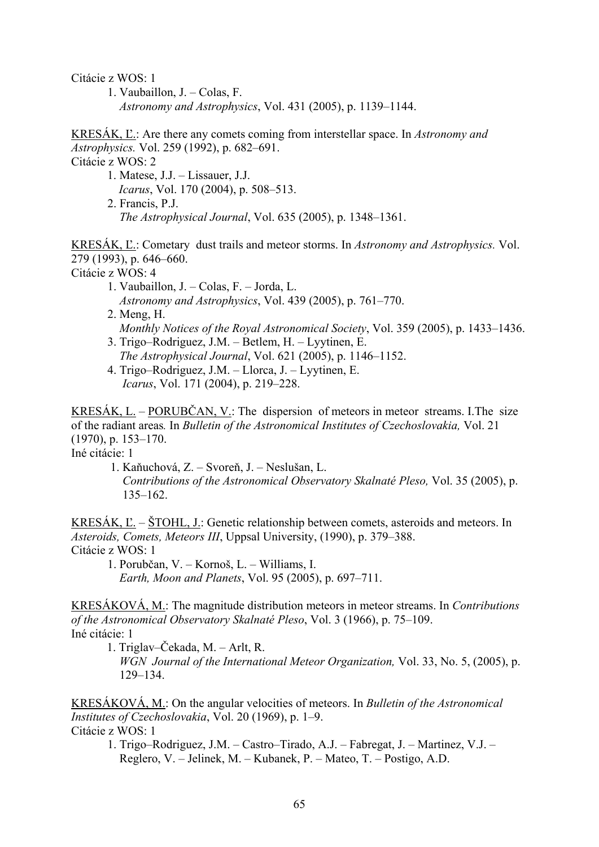Citácie z WOS: 1

 1. Vaubaillon, J. – Colas, F. *Astronomy and Astrophysics*, Vol. 431 (2005), p. 1139–1144.

KRESÁK, Ľ.: Are there any comets coming from interstellar space. In *Astronomy and Astrophysics.* Vol. 259 (1992), p. 682–691.

Citácie z WOS: 2

 1. Matese, J.J. – Lissauer, J.J. *Icarus*, Vol. 170 (2004), p. 508–513. 2. Francis, P.J. *The Astrophysical Journal*, Vol. 635 (2005), p. 1348–1361.

KRESÁK, Ľ.: Cometary dust trails and meteor storms. In *Astronomy and Astrophysics.* Vol. 279 (1993), p. 646–660. Citácie z WOS: 4

- 1. Vaubaillon, J. Colas, F. Jorda, L. *Astronomy and Astrophysics*, Vol. 439 (2005), p. 761–770.
- 2. Meng, H. *Monthly Notices of the Royal Astronomical Society*, Vol. 359 (2005), p. 1433–1436.
- 3. Trigo–Rodriguez, J.M. Betlem, H. Lyytinen, E. *The Astrophysical Journal*, Vol. 621 (2005), p. 1146–1152.
- 4. Trigo–Rodriguez, J.M. Llorca, J. Lyytinen, E. *Icarus*, Vol. 171 (2004), p. 219–228.

KRESÁK,  $L. - PORUBČAN, V$ .: The dispersion of meteors in meteor streams. I. The size of the radiant areas*.* In *Bulletin of the Astronomical Institutes of Czechoslovakia,* Vol. 21 (1970), p. 153–170.

Iné citácie: 1

1. Kaňuchová, Z. – Svoreň, J. – Neslušan, L.

 *Contributions of the Astronomical Observatory Skalnaté Pleso,* Vol. 35 (2005), p. 135–162.

KRESÁK, Ľ. – ŠTOHL, J.: Genetic relationship between comets, asteroids and meteors. In *Asteroids, Comets, Meteors III*, Uppsal University, (1990), p. 379–388. Citácie z WOS: 1

 1. Porubčan, V. – Kornoš, L. – Williams, I. *Earth, Moon and Planets*, Vol. 95 (2005), p. 697–711.

KRESÁKOVÁ, M.: The magnitude distribution meteors in meteor streams. In *Contributions of the Astronomical Observatory Skalnaté Pleso*, Vol. 3 (1966), p. 75–109. Iné citácie: 1

1. Triglav–Čekada, M. – Arlt, R.

*WGN Journal of the International Meteor Organization,* Vol. 33, No. 5, (2005), p. 129–134.

KRESÁKOVÁ, M.: On the angular velocities of meteors. In *Bulletin of the Astronomical Institutes of Czechoslovakia*, Vol. 20 (1969), p. 1–9. Citácie z WOS: 1

 1. Trigo–Rodriguez, J.M. – Castro–Tirado, A.J. – Fabregat, J. – Martinez, V.J. – Reglero, V. – Jelinek, M. – Kubanek, P. – Mateo, T. – Postigo, A.D.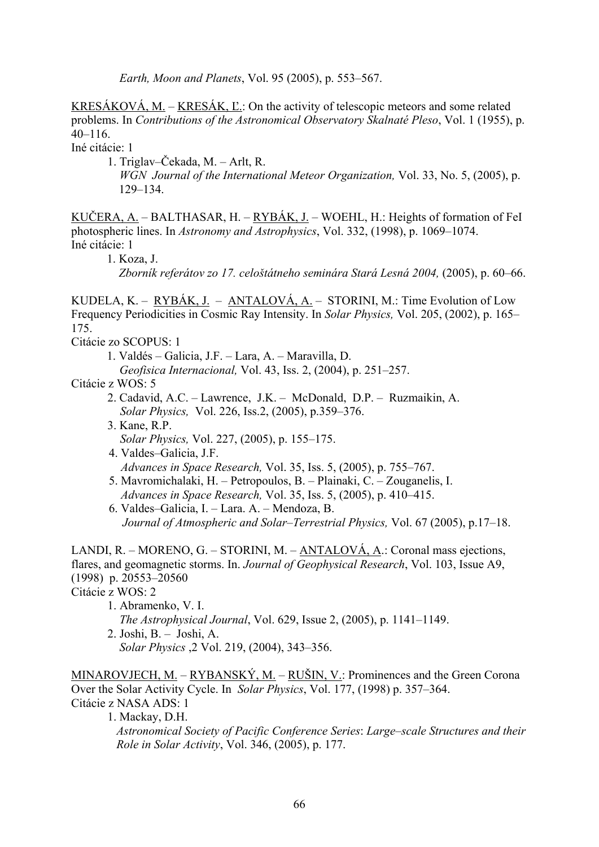*Earth, Moon and Planets*, Vol. 95 (2005), p. 553–567.

KRESÁKOVÁ, M. – KRESÁK, Ľ.: On the activity of telescopic meteors and some related problems. In *Contributions of the Astronomical Observatory Skalnaté Pleso*, Vol. 1 (1955), p. 40–116.

Iné citácie: 1

- 1. Triglav–Čekada, M. Arlt, R.
	- *WGN Journal of the International Meteor Organization,* Vol. 33, No. 5, (2005), p. 129–134.

KUČERA, A. – BALTHASAR, H. – RYBÁK, J. – WOEHL, H.: Heights of formation of FeI photospheric lines. In *Astronomy and Astrophysics*, Vol. 332, (1998), p. 1069–1074. Iné citácie: 1

1. Koza, J.

 *Zborník referátov zo 17. celoštátneho seminára Stará Lesná 2004,* (2005), p. 60–66.

KUDELA, K. – RYBÁK, J. – ANTALOVÁ, A. – STORINI, M.: Time Evolution of Low Frequency Periodicities in Cosmic Ray Intensity. In *Solar Physics,* Vol. 205, (2002), p. 165– 175.

Citácie zo SCOPUS: 1

1. Valdés – Galicia, J.F. – Lara, A. – Maravilla, D.

*Geofisica Internacional,* Vol. 43, Iss. 2, (2004), p. 251–257.

Citácie z WOS: 5

- 2. Cadavid, A.C. Lawrence, J.K. McDonald, D.P. Ruzmaikin, A. *Solar Physics,* Vol. 226, Iss.2, (2005), p.359–376.
- 3. Kane, R.P. *Solar Physics,* Vol. 227, (2005), p. 155–175.
- 4. Valdes–Galicia, J.F. *Advances in Space Research,* Vol. 35, Iss. 5, (2005), p. 755–767.
- 5. Mavromichalaki, H. Petropoulos, B. Plainaki, C. Zouganelis, I. *Advances in Space Research,* Vol. 35, Iss. 5, (2005), p. 410–415.
- 6. Valdes–Galicia, I. Lara. A. Mendoza, B. *Journal of Atmospheric and Solar–Terrestrial Physics,* Vol. 67 (2005), p.17–18.

LANDI, R. – MORENO, G. – STORINI, M. – ANTALOVÁ, A.: Coronal mass ejections, flares, and geomagnetic storms. In. *Journal of Geophysical Research*, Vol. 103, Issue A9, (1998) p. 20553–20560

Citácie z WOS: 2

- 1. Abramenko, V. I.  *The Astrophysical Journal*, Vol. 629, Issue 2, (2005), p. 1141–1149.
- 2. Joshi, B. Joshi, A.  *Solar Physics* ,2 Vol. 219, (2004), 343–356.

MINAROVJECH, M. – RYBANSKÝ, M. – RUŠIN, V.: Prominences and the Green Corona Over the Solar Activity Cycle. In *Solar Physics*, Vol. 177, (1998) p. 357–364. Citácie z NASA ADS: 1

1. Mackay, D.H.

 *Astronomical Society of Pacific Conference Series*: *Large–scale Structures and their Role in Solar Activity*, Vol. 346, (2005), p. 177.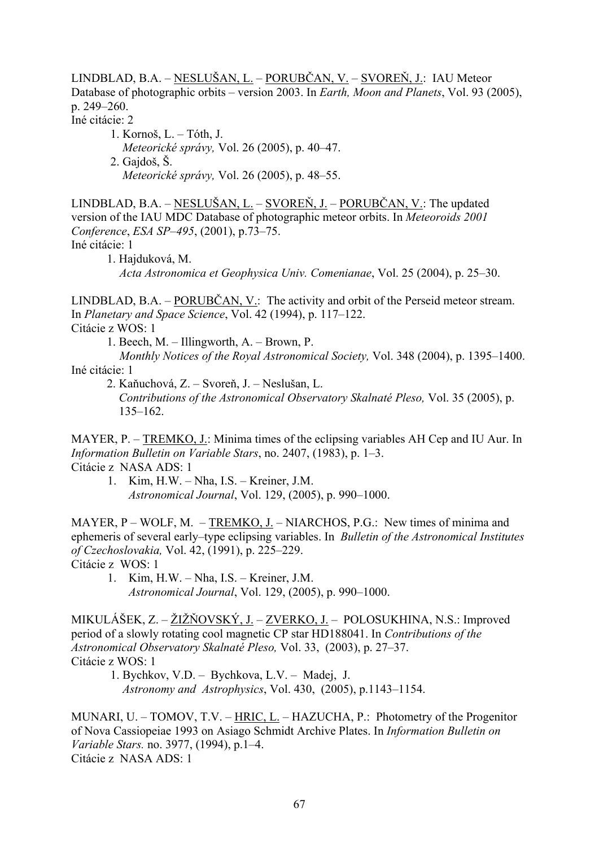LINDBLAD, B.A. – NESLUŠAN, L. – PORUBČAN, V. – SVOREŇ, J.: IAU Meteor Database of photographic orbits – version 2003. In *Earth, Moon and Planets*, Vol. 93 (2005), p. 249–260.

Iné citácie: 2

 1. Kornoš, L. – Tóth, J. *Meteorické správy,* Vol. 26 (2005), p. 40–47. 2. Gajdoš, Š. *Meteorické správy,* Vol. 26 (2005), p. 48–55.

LINDBLAD, B.A. – NESLUŠAN, L. – SVOREŇ, J. – PORUBČAN, V.: The updated version of the IAU MDC Database of photographic meteor orbits. In *Meteoroids 2001 Conference*, *ESA SP–495*, (2001), p.73–75. Iné citácie: 1

1. Hajduková, M. *Acta Astronomica et Geophysica Univ. Comenianae*, Vol. 25 (2004), p. 25–30.

LINDBLAD, B.A. – PORUBČAN, V.: The activity and orbit of the Perseid meteor stream. In *Planetary and Space Science*, Vol. 42 (1994), p. 117–122. Citácie z WOS: 1

1. Beech, M. – Illingworth, A. – Brown, P.

 *Monthly Notices of the Royal Astronomical Society,* Vol. 348 (2004), p. 1395–1400. Iné citácie: 1

2. Kaňuchová, Z. – Svoreň, J. – Neslušan, L.

 *Contributions of the Astronomical Observatory Skalnaté Pleso,* Vol. 35 (2005), p. 135–162.

MAYER, P. – TREMKO, J.: Minima times of the eclipsing variables AH Cep and IU Aur. In *Information Bulletin on Variable Stars*, no. 2407, (1983), p. 1–3. Citácie z NASA ADS: 1

 1. Kim, H.W. – Nha, I.S. – Kreiner, J.M.  *Astronomical Journal*, Vol. 129, (2005), p. 990–1000.

MAYER, P – WOLF, M. – TREMKO, J. – NIARCHOS, P.G.: New times of minima and ephemeris of several early–type eclipsing variables. In *Bulletin of the Astronomical Institutes of Czechoslovakia,* Vol. 42, (1991), p. 225–229. Citácie z WOS: 1

1. Kim, H.W. – Nha, I.S. – Kreiner, J.M.

 *Astronomical Journal*, Vol. 129, (2005), p. 990–1000.

MIKULÁŠEK, Z. – ŽIŽŇOVSKÝ, J. – ZVERKO, J. – POLOSUKHINA, N.S.: Improved period of a slowly rotating cool magnetic CP star HD188041. In *Contributions of the Astronomical Observatory Skalnaté Pleso,* Vol. 33, (2003), p. 27–37. Citácie z WOS: 1

 1. Bychkov, V.D. – Bychkova, L.V. – Madej, J.  *Astronomy and Astrophysics*, Vol. 430, (2005), p.1143–1154.

MUNARI, U. – TOMOV, T.V. – HRIC, L. – HAZUCHA, P.: Photometry of the Progenitor of Nova Cassiopeiae 1993 on Asiago Schmidt Archive Plates. In *Information Bulletin on Variable Stars.* no. 3977, (1994), p.1–4. Citácie z NASA ADS: 1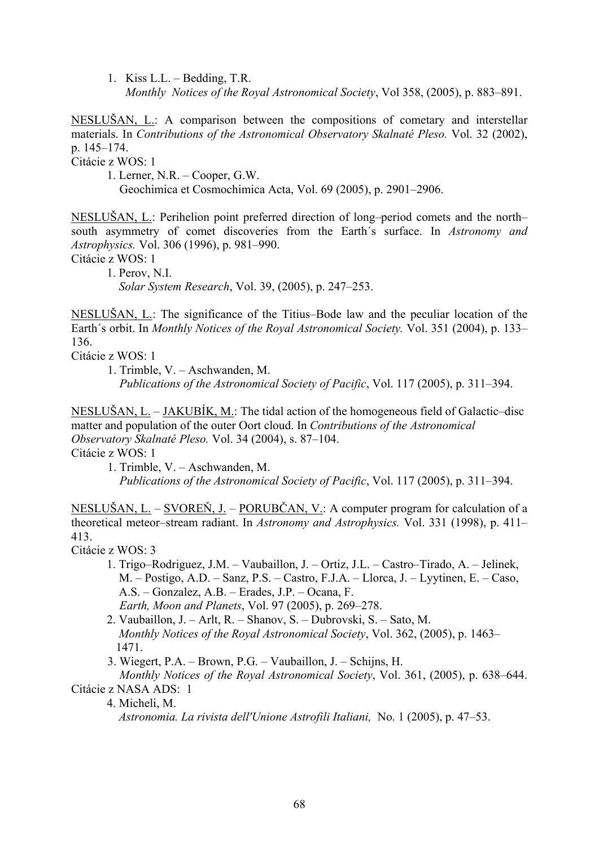1. Kiss L.L. – Bedding, T.R.  *Monthly Notices of the Royal Astronomical Society*, Vol 358, (2005), p. 883–891.

NESLUŠAN, L.: A comparison between the compositions of cometary and interstellar materials. In *Contributions of the Astronomical Observatory Skalnaté Pleso.* Vol. 32 (2002), p. 145–174.

Citácie z WOS: 1

1. Lerner, N.R. – Cooper, G.W.

Geochimica et Cosmochimica Acta, Vol. 69 (2005), p. 2901–2906.

NESLUŠAN, L.: Perihelion point preferred direction of long–period comets and the north– south asymmetry of comet discoveries from the Earth´s surface. In *Astronomy and Astrophysics.* Vol. 306 (1996), p. 981–990.

Citácie z WOS: 1

1. Perov, N.I. *Solar System Research*, Vol. 39, (2005), p. 247–253.

NESLUŠAN, L.: The significance of the Titius–Bode law and the peculiar location of the Earth´s orbit. In *Monthly Notices of the Royal Astronomical Society.* Vol. 351 (2004), p. 133– 136.

Citácie z WOS: 1

 1. Trimble, V. – Aschwanden, M.  *Publications of the Astronomical Society of Pacific*, Vol. 117 (2005), p. 311–394.

NESLUŠAN, L. – JAKUBÍK, M.: The tidal action of the homogeneous field of Galactic–disc matter and population of the outer Oort cloud. In *Contributions of the Astronomical Observatory Skalnaté Pleso.* Vol. 34 (2004), s. 87–104. Citácie z WOS: 1

1. Trimble, V. – Aschwanden, M.

 *Publications of the Astronomical Society of Pacific*, Vol. 117 (2005), p. 311–394.

NESLUŠAN, L. – SVOREŇ, J. – PORUBČAN, V.: A computer program for calculation of a theoretical meteor–stream radiant. In *Astronomy and Astrophysics.* Vol. 331 (1998), p. 411– 413.

Citácie z WOS: 3

- 1. Trigo–Rodriguez, J.M. Vaubaillon, J. Ortiz, J.L. Castro–Tirado, A. Jelinek, M. – Postigo, A.D. – Sanz, P.S. – Castro, F.J.A. – Llorca, J. – Lyytinen, E. – Caso, A.S. – Gonzalez, A.B. – Erades, J.P. – Ocana, F. *Earth, Moon and Planets*, Vol. 97 (2005), p. 269–278.
- 2. Vaubaillon, J. Arlt, R. Shanov, S. Dubrovski, S. Sato, M. *Monthly Notices of the Royal Astronomical Society*, Vol. 362, (2005), p. 1463– 1471.
- 3. Wiegert, P.A. Brown, P.G. Vaubaillon, J. Schijns, H.

 *Monthly Notices of the Royal Astronomical Society*, Vol. 361, (2005), p. 638–644. Citácie z NASA ADS: 1

4. Micheli, M.

 *Astronomia. La rivista dell'Unione Astrofili Italiani,* No. 1 (2005), p. 47–53.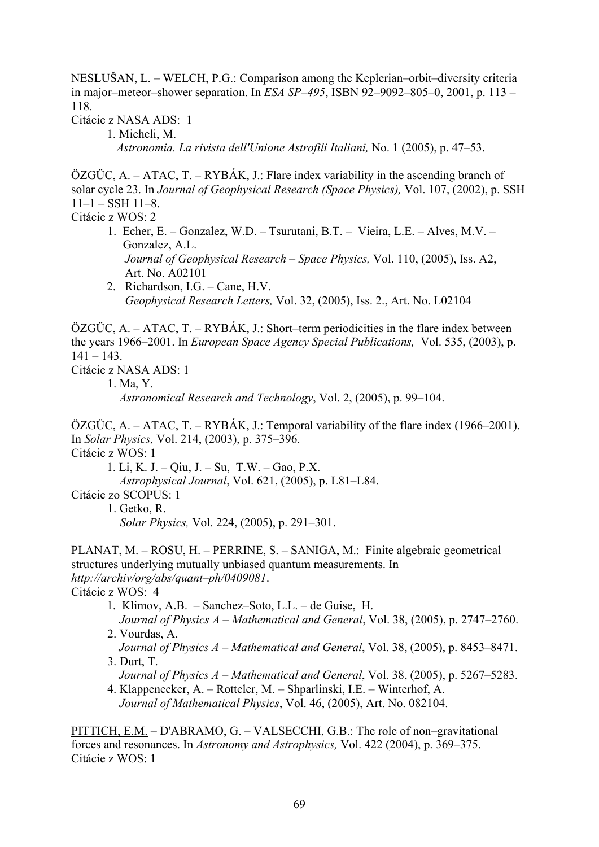NESLUŠAN, L. – WELCH, P.G.: Comparison among the Keplerian–orbit–diversity criteria in major–meteor–shower separation. In *ESA SP–495*, ISBN 92–9092–805–0, 2001, p. 113 – 118.

Citácie z NASA ADS: 1

1. Micheli, M.  *Astronomia. La rivista dell'Unione Astrofili Italiani,* No. 1 (2005), p. 47–53.

 $\overline{OZGUC}$ , A. – ATAC, T. – RYBÁK, J.: Flare index variability in the ascending branch of solar cycle 23. In *Journal of Geophysical Research (Space Physics),* Vol. 107, (2002), p. SSH  $11-1$  – SSH  $11-8$ .

Citácie z WOS: 2

- 1. Echer, E. Gonzalez, W.D. Tsurutani, B.T. Vieira, L.E. Alves, M.V. Gonzalez, A.L. *Journal of Geophysical Research – Space Physics,* Vol. 110, (2005), Iss. A2, Art. No. A02101
- 2. Richardson, I.G. Cane, H.V. *Geophysical Research Letters,* Vol. 32, (2005), Iss. 2., Art. No. L02104

 $\ddot{\text{O}}\text{ZG}\ddot{\text{U}}\text{C}$ , A. – ATAC, T. – RYBÁK, J.: Short–term periodicities in the flare index between the years 1966–2001. In *European Space Agency Special Publications,* Vol. 535, (2003), p.  $141 - 143$ 

Citácie z NASA ADS: 1

 1. Ma, Y.  *Astronomical Research and Technology*, Vol. 2, (2005), p. 99–104.

ÖZGÜC, A. – ATAC, T. – RYBÁK, J.: Temporal variability of the flare index (1966–2001). In *Solar Physics,* Vol. 214, (2003), p. 375–396. Citácie z WOS: 1

1. Li, K. J. – Qiu, J. – Su, T.W. – Gao, P.X. *Astrophysical Journal*, Vol. 621, (2005), p. L81–L84. Citácie zo SCOPUS: 1 1. Getko, R.

*Solar Physics,* Vol. 224, (2005), p. 291–301.

PLANAT, M. – ROSU, H. – PERRINE, S. – SANIGA, M.: Finite algebraic geometrical structures underlying mutually unbiased quantum measurements. In *http://archiv/org/abs/quant–ph/0409081*. Citácie z WOS: 4

- 1. Klimov, A.B. Sanchez–Soto, L.L. de Guise, H. *Journal of Physics A* – *Mathematical and General*, Vol. 38, (2005), p. 2747–2760.
- 2. Vourdas, A. *Journal of Physics A* – *Mathematical and General*, Vol. 38, (2005), p. 8453–8471.
- 3. Durt, T. *Journal of Physics A* – *Mathematical and General*, Vol. 38, (2005), p. 5267–5283.
- 4. Klappenecker, A. Rotteler, M. Shparlinski, I.E. Winterhof, A. *Journal of Mathematical Physics*, Vol. 46, (2005), Art. No. 082104.

PITTICH, E.M. – D'ABRAMO, G. – VALSECCHI, G.B.: The role of non–gravitational forces and resonances. In *Astronomy and Astrophysics,* Vol. 422 (2004), p. 369–375. Citácie z WOS: 1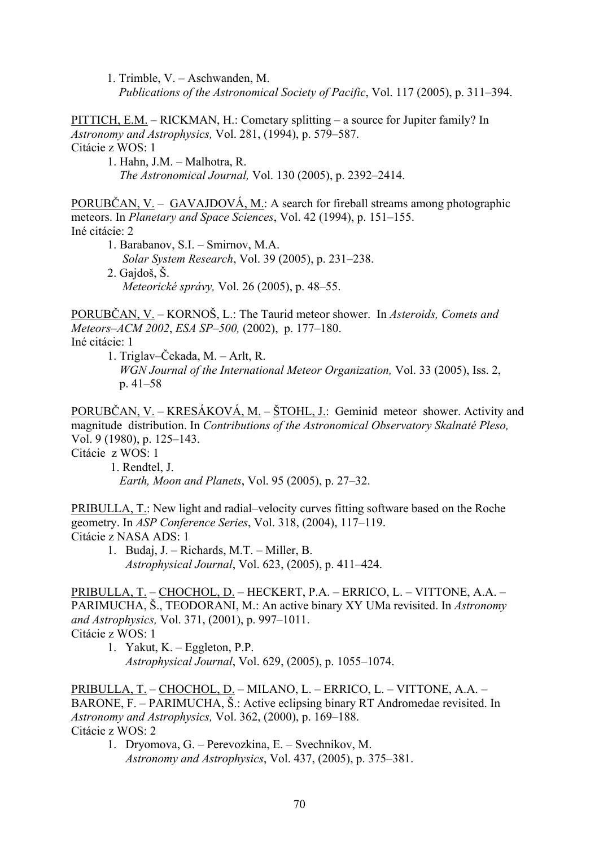1. Trimble, V. – Aschwanden, M.

 *Publications of the Astronomical Society of Pacific*, Vol. 117 (2005), p. 311–394.

PITTICH, E.M. – RICKMAN, H.: Cometary splitting – a source for Jupiter family? In *Astronomy and Astrophysics,* Vol. 281, (1994), p. 579–587. Citácie z WOS: 1

 1. Hahn, J.M. – Malhotra, R. *The Astronomical Journal,* Vol. 130 (2005), p. 2392–2414.

PORUBČAN, V. – GAVAJDOVÁ, M.: A search for fireball streams among photographic meteors. In *Planetary and Space Sciences*, Vol. 42 (1994), p. 151–155. Iné citácie: 2

 1. Barabanov, S.I. – Smirnov, M.A. *Solar System Research*, Vol. 39 (2005), p. 231–238. 2. Gajdoš, Š. *Meteorické správy,* Vol. 26 (2005), p. 48–55.

PORUBČAN, V. – KORNOŠ, L.: The Taurid meteor shower. In *Asteroids, Comets and Meteors–ACM 2002*, *ESA SP–500,* (2002), p. 177–180.

Iné citácie: 1

1. Triglav–Čekada, M. – Arlt, R.

 *WGN Journal of the International Meteor Organization,* Vol. 33 (2005), Iss. 2, p. 41–58

PORUBČAN, V. – KRESÁKOVÁ, M. – ŠTOHL, J.: Geminid meteor shower. Activity and magnitude distribution. In *Contributions of the Astronomical Observatory Skalnaté Pleso,* Vol. 9 (1980), p. 125–143.

Citácie z WOS: 1

1. Rendtel, J. *Earth, Moon and Planets*, Vol. 95 (2005), p. 27–32.

PRIBULLA, T.: New light and radial–velocity curves fitting software based on the Roche geometry. In *ASP Conference Series*, Vol. 318, (2004), 117–119. Citácie z NASA ADS: 1

1. Budaj, J. – Richards, M.T. – Miller, B. *Astrophysical Journal*, Vol. 623, (2005), p. 411–424.

PRIBULLA, T. – CHOCHOL, D. – HECKERT, P.A. – ERRICO, L. – VITTONE, A.A. – PARIMUCHA, Š., TEODORANI, M.: An active binary XY UMa revisited. In *Astronomy and Astrophysics,* Vol. 371, (2001), p. 997–1011. Citácie z WOS: 1

1. Yakut, K. – Eggleton, P.P. *Astrophysical Journal*, Vol. 629, (2005), p. 1055–1074.

PRIBULLA, T. – CHOCHOL, D. – MILANO, L. – ERRICO, L. – VITTONE, A.A. – BARONE, F. – PARIMUCHA, Š.: Active eclipsing binary RT Andromedae revisited. In *Astronomy and Astrophysics,* Vol. 362, (2000), p. 169–188. Citácie z WOS: 2

1. Dryomova, G. – Perevozkina, E. – Svechnikov, M. *Astronomy and Astrophysics*, Vol. 437, (2005), p. 375–381.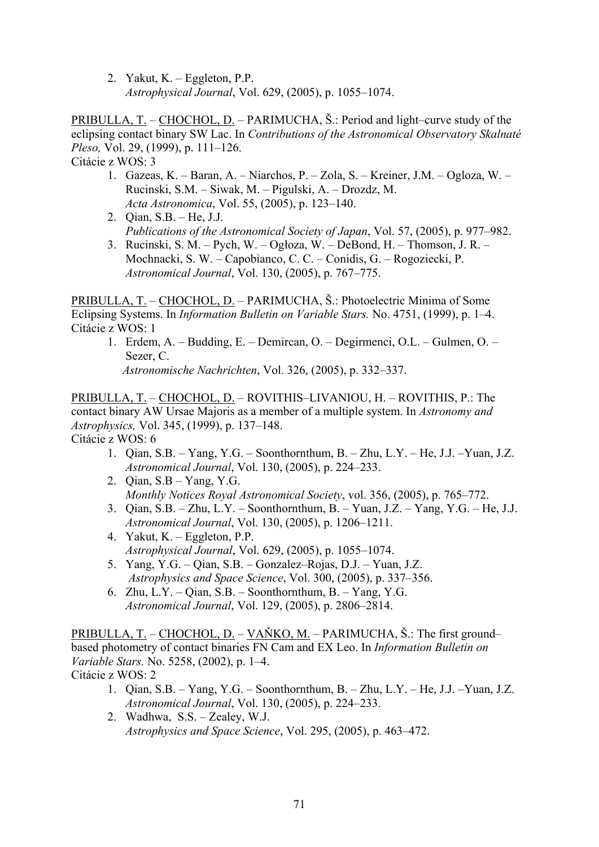2. Yakut, K. – Eggleton, P.P. *Astrophysical Journal*, Vol. 629, (2005), p. 1055–1074.

PRIBULLA, T. – CHOCHOL, D. – PARIMUCHA, Š.: Period and light–curve study of the eclipsing contact binary SW Lac. In *Contributions of the Astronomical Observatory Skalnaté Pleso,* Vol. 29, (1999), p. 111–126. Citácie z WOS: 3

- 1. Gazeas, K. Baran, A. Niarchos, P. Zola, S. Kreiner, J.M. Ogloza, W. Rucinski, S.M. – Siwak, M. – Pigulski, A. – Drozdz, M. *Acta Astronomica*, Vol. 55, (2005), p. 123–140.
- 2. Qian, S.B. He, J.J. *Publications of the Astronomical Society of Japan*, Vol. 57, (2005), p. 977–982.
- 3. Rucinski, S. M. Pych, W. Ogłoza, W. DeBond, H. Thomson, J. R. Mochnacki, S. W. – Capobianco, C. C. – Conidis, G. – Rogoziecki, P. *Astronomical Journal*, Vol. 130, (2005), p. 767–775.

PRIBULLA, T. – CHOCHOL, D. – PARIMUCHA, Š.: Photoelectric Minima of Some Eclipsing Systems. In *Information Bulletin on Variable Stars.* No. 4751, (1999), p. 1–4. Citácie z WOS: 1

1. Erdem, A. – Budding, E. – Demircan, O. – Degirmenci, O.L. – Gulmen, O. – Sezer, C. *Astronomische Nachrichten*, Vol. 326, (2005), p. 332–337.

PRIBULLA, T. – CHOCHOL, D. – ROVITHIS–LIVANIOU, H. – ROVITHIS, P.: The contact binary AW Ursae Majoris as a member of a multiple system. In *Astronomy and Astrophysics,* Vol. 345, (1999), p. 137–148. Citácie z WOS: 6

- 1. Qian, S.B. Yang, Y.G. Soonthornthum, B. Zhu, L.Y. He, J.J. –Yuan, J.Z. *Astronomical Journal*, Vol. 130, (2005), p. 224–233.
- 2. Qian, S.B Yang, Y.G. *Monthly Notices Royal Astronomical Society*, vol. 356, (2005), p. 765–772.
- 3. Qian, S.B. Zhu, L.Y. Soonthornthum, B. Yuan, J.Z. Yang, Y.G. He, J.J. *Astronomical Journal*, Vol. 130, (2005), p. 1206–1211.
- 4. Yakut, K. Eggleton, P.P. *Astrophysical Journal*, Vol. 629, (2005), p. 1055–1074.
- 5. Yang, Y.G. Qian, S.B. Gonzalez–Rojas, D.J. Yuan, J.Z. *Astrophysics and Space Science*, Vol. 300, (2005), p. 337–356.
- 6. Zhu, L.Y. Qian, S.B. Soonthornthum, B. Yang, Y.G. *Astronomical Journal*, Vol. 129, (2005), p. 2806–2814.

PRIBULLA, T. – CHOCHOL, D. – VAŇKO, M. – PARIMUCHA, Š.: The first ground– based photometry of contact binaries FN Cam and EX Leo. In *Information Bulletin on Variable Stars.* No. 5258, (2002), p. 1–4. Citácie z WOS: 2

- 1. Qian, S.B. Yang, Y.G. Soonthornthum, B. Zhu, L.Y. He, J.J. –Yuan, J.Z. *Astronomical Journal*, Vol. 130, (2005), p. 224–233.
- 2. Wadhwa, S.S. Zealey, W.J. *Astrophysics and Space Science*, Vol. 295, (2005), p. 463–472.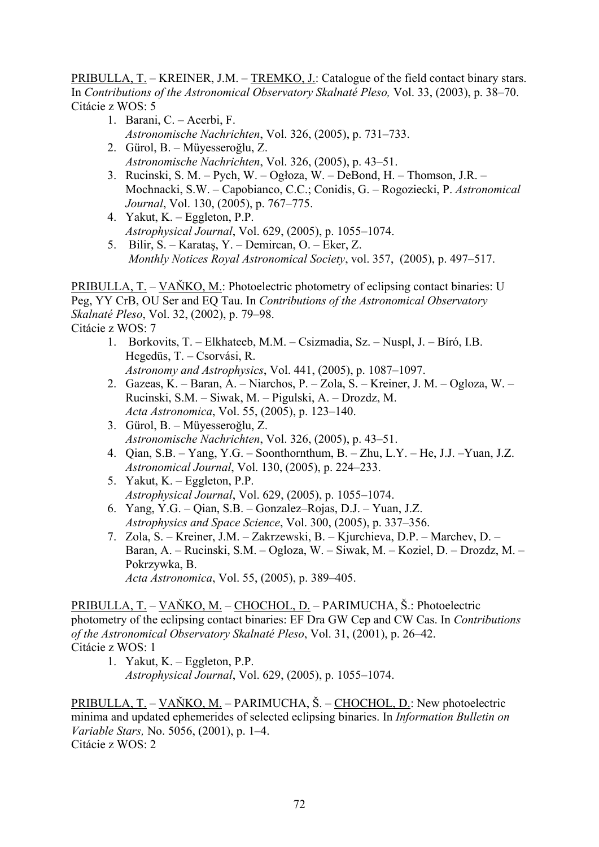PRIBULLA, T. – KREINER, J.M. – TREMKO, J.: Catalogue of the field contact binary stars. In *Contributions of the Astronomical Observatory Skalnaté Pleso,* Vol. 33, (2003), p. 38–70. Citácie z WOS: 5

- 1. Barani, C. Acerbi, F. *Astronomische Nachrichten*, Vol. 326, (2005), p. 731–733.
- 2. Gürol, B. Müyesseroğlu, Z. *Astronomische Nachrichten*, Vol. 326, (2005), p. 43–51.
- 3. Rucinski, S. M. Pych, W. Ogłoza, W. DeBond, H. Thomson, J.R. Mochnacki, S.W. – Capobianco, C.C.; Conidis, G. – Rogoziecki, P. *Astronomical Journal*, Vol. 130, (2005), p. 767–775.
- 4. Yakut, K. Eggleton, P.P. *Astrophysical Journal*, Vol. 629, (2005), p. 1055–1074.
- 5. Bilir, S. Karataş, Y. Demircan, O. Eker, Z. *Monthly Notices Royal Astronomical Society*, vol. 357, (2005), p. 497–517.

PRIBULLA, T. – VAŇKO, M.: Photoelectric photometry of eclipsing contact binaries: U Peg, YY CrB, OU Ser and EQ Tau. In *Contributions of the Astronomical Observatory Skalnaté Pleso*, Vol. 32, (2002), p. 79–98. Citácie z WOS: 7

- 1. Borkovits, T. Elkhateeb, M.M. Csizmadia, Sz. Nuspl, J. Bíró, I.B. Hegedüs, T. – Csorvási, R. *Astronomy and Astrophysics*, Vol. 441, (2005), p. 1087–1097.
- 2. Gazeas, K. Baran, A. Niarchos, P. Zola, S. Kreiner, J. M. Ogloza, W. Rucinski, S.M. – Siwak, M. – Pigulski, A. – Drozdz, M. *Acta Astronomica*, Vol. 55, (2005), p. 123–140.
- 3. Gürol, B. Müyesseroğlu, Z. *Astronomische Nachrichten*, Vol. 326, (2005), p. 43–51.
- 4. Qian, S.B. Yang, Y.G. Soonthornthum, B. Zhu, L.Y. He, J.J. –Yuan, J.Z. *Astronomical Journal*, Vol. 130, (2005), p. 224–233.
- 5. Yakut, K. Eggleton, P.P. *Astrophysical Journal*, Vol. 629, (2005), p. 1055–1074.
- 6. Yang, Y.G. Qian, S.B. Gonzalez–Rojas, D.J. Yuan, J.Z. *Astrophysics and Space Science*, Vol. 300, (2005), p. 337–356.
- 7. Zola, S. Kreiner, J.M. Zakrzewski, B. Kjurchieva, D.P. Marchev, D. Baran, A. – Rucinski, S.M. – Ogloza, W. – Siwak, M. – Koziel, D. – Drozdz, M. – Pokrzywka, B. *Acta Astronomica*, Vol. 55, (2005), p. 389–405.

PRIBULLA, T. – VAŇKO, M. – CHOCHOL, D. – PARIMUCHA, Š.: Photoelectric photometry of the eclipsing contact binaries: EF Dra GW Cep and CW Cas. In *Contributions of the Astronomical Observatory Skalnaté Pleso*, Vol. 31, (2001), p. 26–42. Citácie z WOS: 1

1. Yakut, K. – Eggleton, P.P. *Astrophysical Journal*, Vol. 629, (2005), p. 1055–1074.

PRIBULLA, T. – VAŇKO, M. – PARIMUCHA, Š. – CHOCHOL, D.: New photoelectric minima and updated ephemerides of selected eclipsing binaries. In *Information Bulletin on Variable Stars,* No. 5056, (2001), p. 1–4. Citácie z WOS: 2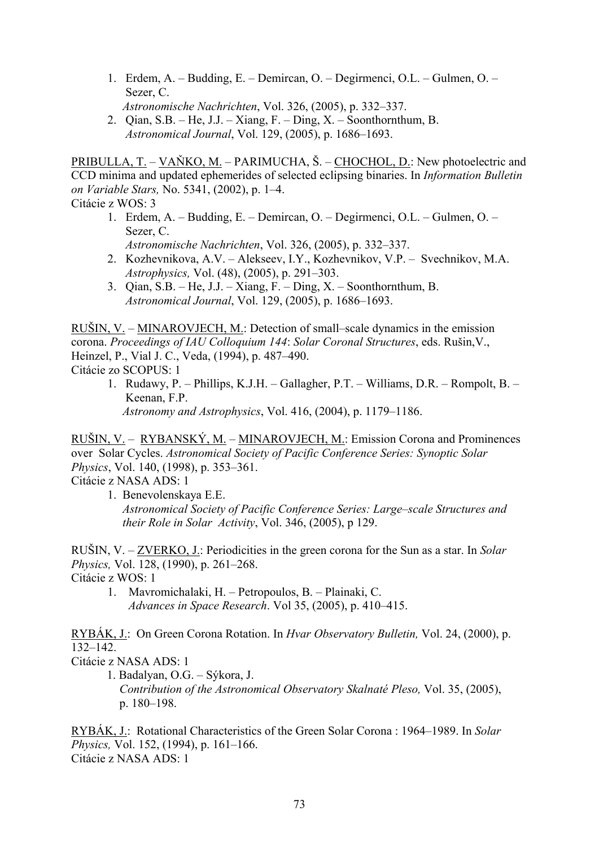- 1. Erdem, A. Budding, E. Demircan, O. Degirmenci, O.L. Gulmen, O. Sezer, C.
- *Astronomische Nachrichten*, Vol. 326, (2005), p. 332–337.
- 2. Qian, S.B. He, J.J. Xiang, F. Ding, X. Soonthornthum, B. *Astronomical Journal*, Vol. 129, (2005), p. 1686–1693.

PRIBULLA, T. – VAŇKO, M. – PARIMUCHA, Š. – CHOCHOL, D.: New photoelectric and CCD minima and updated ephemerides of selected eclipsing binaries. In *Information Bulletin on Variable Stars,* No. 5341, (2002), p. 1–4. Citácie z WOS: 3

- 1. Erdem, A. Budding, E. Demircan, O. Degirmenci, O.L. Gulmen, O. Sezer, C.
	- *Astronomische Nachrichten*, Vol. 326, (2005), p. 332–337.
- 2. Kozhevnikova, A.V. Alekseev, I.Y., Kozhevnikov, V.P. Svechnikov, M.A. *Astrophysics,* Vol. (48), (2005), p. 291–303.
- 3. Qian, S.B. He, J.J. Xiang, F. Ding, X. Soonthornthum, B. *Astronomical Journal*, Vol. 129, (2005), p. 1686–1693.

RUŠIN, V. – MINAROVJECH, M.: Detection of small–scale dynamics in the emission corona. *Proceedings of IAU Colloquium 144*: *Solar Coronal Structures*, eds. Rušin,V., Heinzel, P., Vial J. C., Veda, (1994), p. 487–490. Citácie zo SCOPUS: 1

1. Rudawy, P. – Phillips, K.J.H. – Gallagher, P.T. – Williams, D.R. – Rompolt, B. – Keenan, F.P. *Astronomy and Astrophysics*, Vol. 416, (2004), p. 1179–1186.

RUŠIN, V. – RYBANSKÝ, M. – MINAROVJECH, M.: Emission Corona and Prominences over Solar Cycles. *Astronomical Society of Pacific Conference Series: Synoptic Solar Physics*, Vol. 140, (1998), p. 353–361.

Citácie z NASA ADS: 1

 1. Benevolenskaya E.E.  *Astronomical Society of Pacific Conference Series: Large–scale Structures and their Role in Solar Activity*, Vol. 346, (2005), p 129.

RUŠIN, V. – ZVERKO, J.: Periodicities in the green corona for the Sun as a star. In *Solar Physics,* Vol. 128, (1990), p. 261–268.

Citácie z WOS: 1

 1. Mavromichalaki, H. – Petropoulos, B. – Plainaki, C.  *Advances in Space Research*. Vol 35, (2005), p. 410–415.

RYBÁK, J.: On Green Corona Rotation. In *Hvar Observatory Bulletin,* Vol. 24, (2000), p. 132–142.

Citácie z NASA ADS: 1

1. Badalyan, O.G. – Sýkora, J. *Contribution of the Astronomical Observatory Skalnaté Pleso,* Vol. 35, (2005), p. 180–198.

RYBÁK, J.: Rotational Characteristics of the Green Solar Corona : 1964–1989. In *Solar Physics,* Vol. 152, (1994), p. 161–166. Citácie z NASA ADS: 1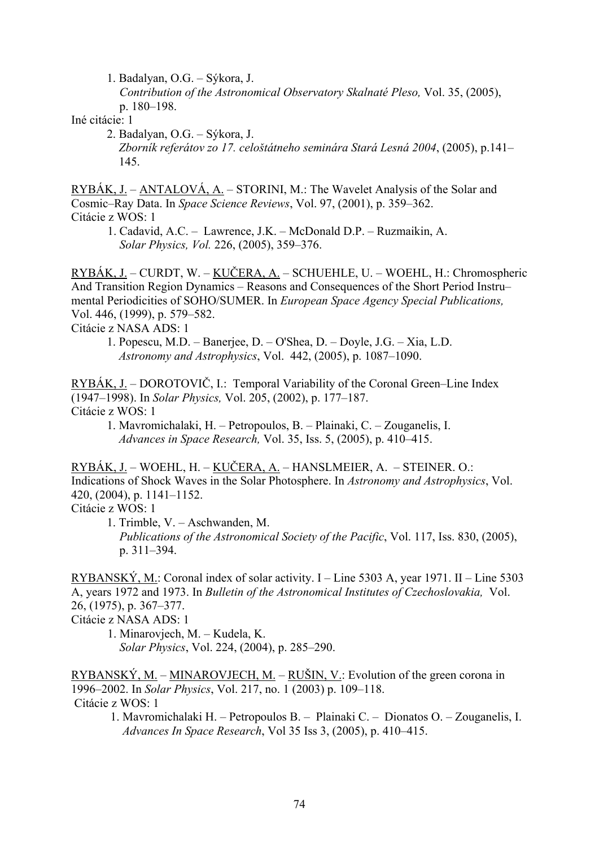1. Badalyan, O.G. – Sýkora, J.

 *Contribution of the Astronomical Observatory Skalnaté Pleso,* Vol. 35, (2005), p. 180–198.

Iné citácie: 1

2. Badalyan, O.G. – Sýkora, J.  *Zborník referátov zo 17. celoštátneho seminára Stará Lesná 2004*, (2005), p.141– 145.

RYBÁK, J. – ANTALOVÁ, A. – STORINI, M.: The Wavelet Analysis of the Solar and Cosmic–Ray Data. In *Space Science Reviews*, Vol. 97, (2001), p. 359–362. Citácie z WOS: 1

 1. Cadavid, A.C. – Lawrence, J.K. – McDonald D.P. – Ruzmaikin, A. *Solar Physics, Vol.* 226, (2005), 359–376.

RYBÁK, J. – CURDT, W. – KUČERA, A. – SCHUEHLE, U. – WOEHL, H.: Chromospheric And Transition Region Dynamics – Reasons and Consequences of the Short Period Instru– mental Periodicities of SOHO/SUMER. In *European Space Agency Special Publications,* Vol. 446, (1999), p. 579–582.

Citácie z NASA ADS: 1

1. Popescu, M.D. – Banerjee, D. – O'Shea, D. – Doyle, J.G. – Xia, L.D.  *Astronomy and Astrophysics*, Vol. 442, (2005), p. 1087–1090.

RYBÁK, J. – DOROTOVIČ, I.: Temporal Variability of the Coronal Green–Line Index (1947–1998). In *Solar Physics,* Vol. 205, (2002), p. 177–187. Citácie z WOS: 1

1. Mavromichalaki, H. – Petropoulos, B. – Plainaki, C. – Zouganelis, I. *Advances in Space Research,* Vol. 35, Iss. 5, (2005), p. 410–415.

RYBÁK, J. – WOEHL, H. – KUČERA, A. – HANSLMEIER, A. – STEINER. O.: Indications of Shock Waves in the Solar Photosphere. In *Astronomy and Astrophysics*, Vol. 420, (2004), p. 1141–1152.

Citácie z WOS: 1

1. Trimble, V. – Aschwanden, M. *Publications of the Astronomical Society of the Pacific*, Vol. 117, Iss. 830, (2005), p. 311–394.

RYBANSKÝ, M.: Coronal index of solar activity. I – Line 5303 A, year 1971. II – Line 5303 A, years 1972 and 1973. In *Bulletin of the Astronomical Institutes of Czechoslovakia,* Vol. 26, (1975), p. 367–377.

Citácie z NASA ADS: 1

1. Minarovjech, M. – Kudela, K. *Solar Physics*, Vol. 224, (2004), p. 285–290.

 $RYBANSKY, M. - MINAROVJECH, M. - RUŠIN, V.:$  Evolution of the green corona in 1996–2002. In *Solar Physics*, Vol. 217, no. 1 (2003) p. 109–118. Citácie z WOS: 1

 1. Mavromichalaki H. – Petropoulos B. – Plainaki C. – Dionatos O. – Zouganelis, I. *Advances In Space Research*, Vol 35 Iss 3, (2005), p. 410–415.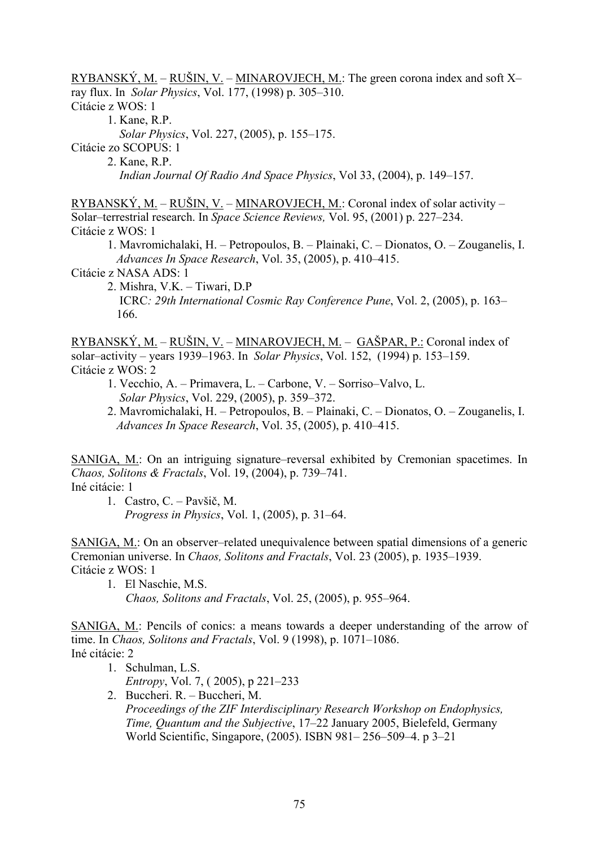RYBANSKÝ, M. – RUŠIN, V. – MINAROVJECH, M.: The green corona index and soft  $X$ ray flux. In *Solar Physics*, Vol. 177, (1998) p. 305–310.

Citácie z WOS: 1

1. Kane, R.P.

*Solar Physics*, Vol. 227, (2005), p. 155–175.

Citácie zo SCOPUS: 1

2. Kane, R.P.

*Indian Journal Of Radio And Space Physics*, Vol 33, (2004), p. 149–157.

RYBANSKÝ, M. – RUŠIN, V. – MINAROVJECH, M.: Coronal index of solar activity – Solar–terrestrial research. In *Space Science Reviews,* Vol. 95, (2001) p. 227–234. Citácie z WOS: 1

1. Mavromichalaki, H. – Petropoulos, B. – Plainaki, C. – Dionatos, O. – Zouganelis, I. *Advances In Space Research*, Vol. 35, (2005), p. 410–415.

Citácie z NASA ADS: 1

2. Mishra, V.K. – Tiwari, D.P ICRC*: 29th International Cosmic Ray Conference Pune*, Vol. 2, (2005), p. 163– 166.

RYBANSKÝ, M. – RUŠIN, V. – MINAROVJECH, M. – GAŠPAR, P.: Coronal index of solar–activity – years 1939–1963. In *Solar Physics*, Vol. 152, (1994) p. 153–159. Citácie z WOS: 2

- 1. Vecchio, A. Primavera, L. Carbone, V. Sorriso–Valvo, L. *Solar Physics*, Vol. 229, (2005), p. 359–372.
- 2. Mavromichalaki, H. Petropoulos, B. Plainaki, C. Dionatos, O. Zouganelis, I. *Advances In Space Research*, Vol. 35, (2005), p. 410–415.

SANIGA, M.: On an intriguing signature–reversal exhibited by Cremonian spacetimes. In *Chaos, Solitons & Fractals*, Vol. 19, (2004), p. 739–741. Iné citácie: 1

1. Castro, C. – Pavšič, M. *Progress in Physics*, Vol. 1, (2005), p. 31–64.

SANIGA, M.: On an observer–related unequivalence between spatial dimensions of a generic Cremonian universe. In *Chaos, Solitons and Fractals*, Vol. 23 (2005), p. 1935–1939. Citácie z WOS: 1

1. El Naschie, M.S. *Chaos, Solitons and Fractals*, Vol. 25, (2005), p. 955–964.

SANIGA, M.: Pencils of conics: a means towards a deeper understanding of the arrow of time. In *Chaos, Solitons and Fractals*, Vol. 9 (1998), p. 1071–1086. Iné citácie: 2

- 1. Schulman, L.S. *Entropy*, Vol. 7, ( 2005), p 221–233
- 2. Buccheri. R. Buccheri, M. *Proceedings of the ZIF Interdisciplinary Research Workshop on Endophysics, Time, Quantum and the Subjective*, 17–22 January 2005, Bielefeld, Germany World Scientific, Singapore, (2005). ISBN 981– 256–509–4. p 3–21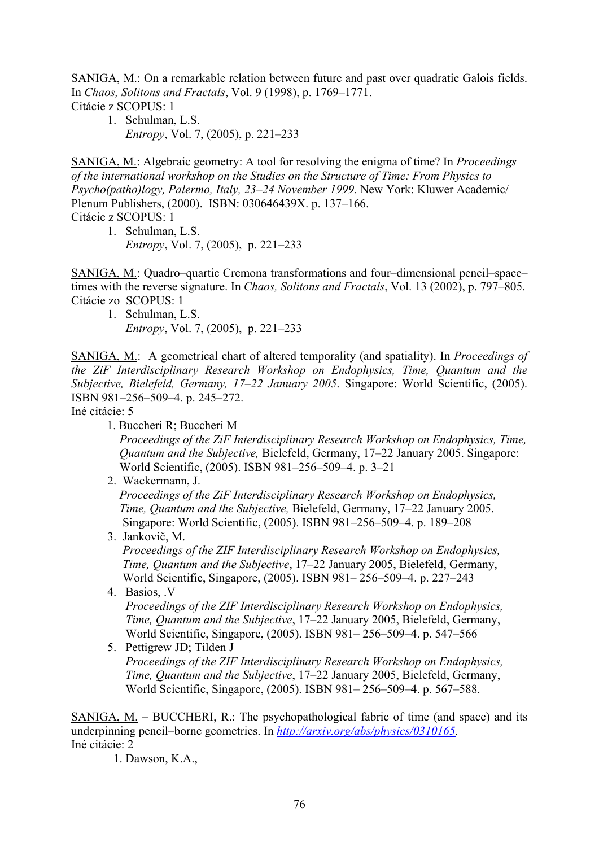SANIGA, M.: On a remarkable relation between future and past over quadratic Galois fields. In *Chaos, Solitons and Fractals*, Vol. 9 (1998), p. 1769–1771. Citácie z SCOPUS: 1

1. Schulman, L.S. *Entropy*, Vol. 7, (2005), p. 221–233

SANIGA, M.: Algebraic geometry: A tool for resolving the enigma of time? In *Proceedings of the international workshop on the Studies on the Structure of Time: From Physics to Psycho(patho)logy, Palermo, Italy, 23–24 November 1999*. New York: Kluwer Academic/ Plenum Publishers, (2000). ISBN: 030646439X. p. 137–166. Citácie z SCOPUS: 1

1. Schulman, L.S. *Entropy*, Vol. 7, (2005), p. 221–233

SANIGA, M.: Quadro–quartic Cremona transformations and four–dimensional pencil–space– times with the reverse signature. In *Chaos, Solitons and Fractals*, Vol. 13 (2002), p. 797–805. Citácie zo SCOPUS: 1

1. Schulman, L.S. *Entropy*, Vol. 7, (2005), p. 221–233

SANIGA, M.: A geometrical chart of altered temporality (and spatiality). In *Proceedings of the ZiF Interdisciplinary Research Workshop on Endophysics, Time, Quantum and the Subjective, Bielefeld, Germany, 17–22 January 2005*. Singapore: World Scientific, (2005). ISBN 981–256–509–4. p. 245–272.

Iné citácie: 5

1. Buccheri R; Buccheri M

 *Proceedings of the ZiF Interdisciplinary Research Workshop on Endophysics, Time, Quantum and the Subjective,* Bielefeld, Germany, 17–22 January 2005. Singapore: World Scientific, (2005). ISBN 981–256–509–4. p. 3–21

2. Wackermann, J.

 *Proceedings of the ZiF Interdisciplinary Research Workshop on Endophysics, Time, Quantum and the Subjective,* Bielefeld, Germany, 17–22 January 2005. Singapore: World Scientific, (2005). ISBN 981–256–509–4. p. 189–208

3. Jankovič, M.

 *Proceedings of the ZIF Interdisciplinary Research Workshop on Endophysics, Time, Quantum and the Subjective*, 17–22 January 2005, Bielefeld, Germany, World Scientific, Singapore, (2005). ISBN 981– 256–509–4. p. 227–243

4. Basios, .V

 *Proceedings of the ZIF Interdisciplinary Research Workshop on Endophysics, Time, Quantum and the Subjective*, 17–22 January 2005, Bielefeld, Germany, World Scientific, Singapore, (2005). ISBN 981– 256–509–4. p. 547–566

 5. Pettigrew JD; Tilden J  *Proceedings of the ZIF Interdisciplinary Research Workshop on Endophysics, Time, Quantum and the Subjective*, 17–22 January 2005, Bielefeld, Germany, World Scientific, Singapore, (2005). ISBN 981– 256–509–4. p. 567–588.

SANIGA, M. – BUCCHERI, R.: The psychopathological fabric of time (and space) and its underpinning pencil–borne geometries. In *[http://arxiv.org/abs/physics/0310165.](http://arxiv.org/abs/physics/0310165)*  Iné citácie: 2

1. Dawson, K.A.,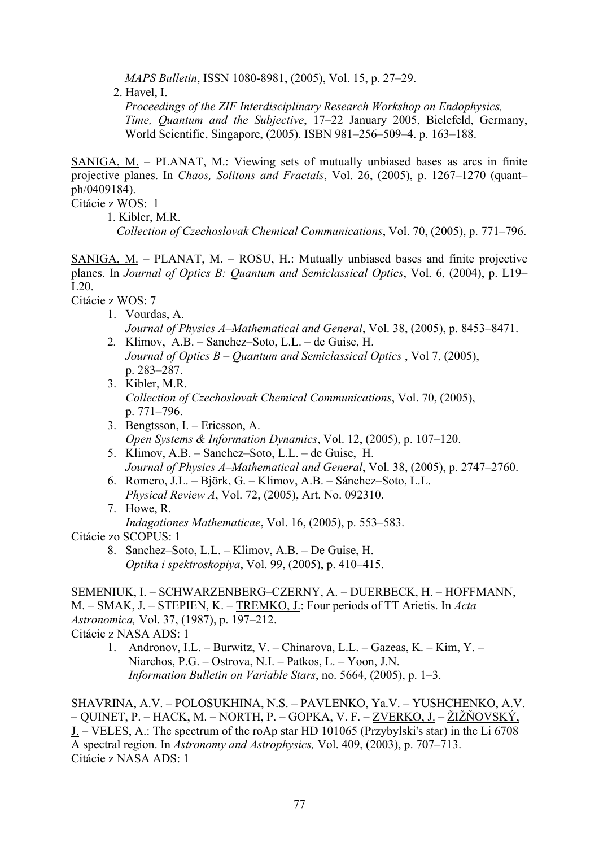*MAPS Bulletin*, ISSN 1080-8981, (2005), Vol. 15, p. 27–29.

2. Havel, I.

*Proceedings of the ZIF Interdisciplinary Research Workshop on Endophysics, Time, Quantum and the Subjective*, 17–22 January 2005, Bielefeld, Germany, World Scientific, Singapore, (2005). ISBN 981–256–509–4. p. 163–188.

SANIGA, M. – PLANAT, M.: Viewing sets of mutually unbiased bases as arcs in finite projective planes. In *Chaos, Solitons and Fractals*, Vol. 26, (2005), p. 1267–1270 (quant– ph/0409184).

Citácie z WOS: 1

1. Kibler, M.R.

*Collection of Czechoslovak Chemical Communications*, Vol. 70, (2005), p. 771–796.

SANIGA, M. – PLANAT, M. – ROSU, H.: Mutually unbiased bases and finite projective planes. In *Journal of Optics B: Quantum and Semiclassical Optics*, Vol. 6, (2004), p. L19– L20.

Citácie z WOS: 7

- 1. Vourdas, A. *Journal of Physics A–Mathematical and General*, Vol. 38, (2005), p. 8453–8471.
- 2*.* Klimov, A.B. Sanchez–Soto, L.L. de Guise, H.  *Journal of Optics B – Quantum and Semiclassical Optics* , Vol 7, (2005), p. 283–287.
- 3. Kibler, M.R.  *Collection of Czechoslovak Chemical Communications*, Vol. 70, (2005), p. 771–796.
- 3. Bengtsson, I. Ericsson, A. *Open Systems & Information Dynamics*, Vol. 12, (2005), p. 107–120.
- 5. Klimov, A.B. Sanchez–Soto, L.L. de Guise, H. *Journal of Physics A–Mathematical and General*, Vol. 38, (2005), p. 2747–2760.
- 6. Romero, J.L. Björk, G. Klimov, A.B. Sánchez–Soto, L.L. *Physical Review A*, Vol. 72, (2005), Art. No. 092310.
- 7. Howe, R.  *Indagationes Mathematicae*, Vol. 16, (2005), p. 553–583.

Citácie zo SCOPUS: 1

8. Sanchez–Soto, L.L. – Klimov, A.B. – De Guise, H. *Optika i spektroskopiya*, Vol. 99, (2005), p. 410–415.

SEMENIUK, I. – SCHWARZENBERG–CZERNY, A. – DUERBECK, H. – HOFFMANN, M. – SMAK, J. – STEPIEN, K. – TREMKO, J.: Four periods of TT Arietis. In *Acta Astronomica,* Vol. 37, (1987), p. 197–212. Citácie z NASA ADS: 1

1. Andronov, I.L. – Burwitz, V. – Chinarova, L.L. – Gazeas, K. – Kim, Y. – Niarchos, P.G. – Ostrova, N.I. – Patkos, L. – Yoon, J.N. *Information Bulletin on Variable Stars*, no. 5664, (2005), p. 1–3.

SHAVRINA, A.V. – POLOSUKHINA, N.S. – PAVLENKO, Ya.V. – YUSHCHENKO, A.V. – QUINET, P. – HACK, M. – NORTH, P. – GOPKA, V. F. – ZVERKO, J. – ŽIŽŇOVSKÝ, J. – VELES, A.: The spectrum of the roAp star HD 101065 (Przybylski's star) in the Li 6708 A spectral region. In *Astronomy and Astrophysics,* Vol. 409, (2003), p. 707–713. Citácie z NASA ADS: 1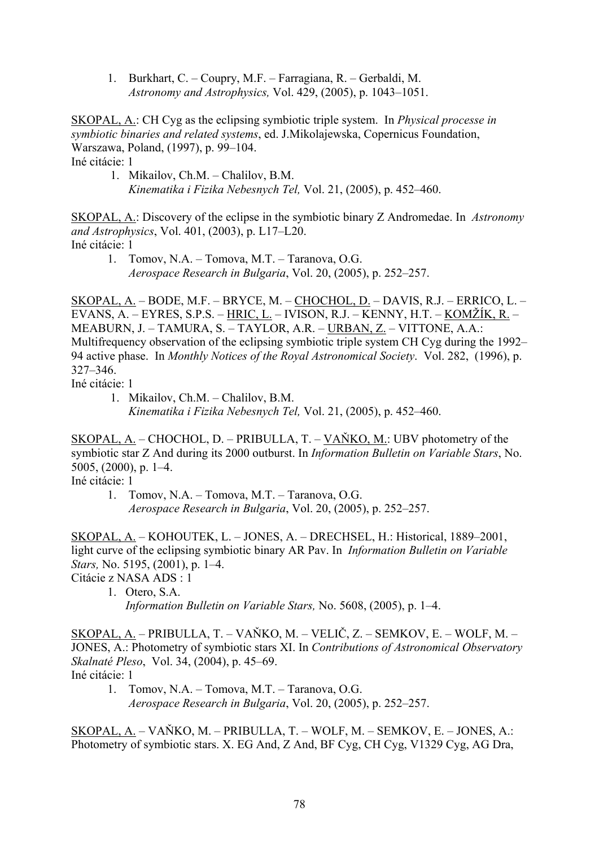1. Burkhart, C. – Coupry, M.F. – Farragiana, R. – Gerbaldi, M. *Astronomy and Astrophysics,* Vol. 429, (2005), p. 1043–1051.

SKOPAL, A.: CH Cyg as the eclipsing symbiotic triple system. In *Physical processe in symbiotic binaries and related systems*, ed. J.Mikolajewska, Copernicus Foundation, Warszawa, Poland, (1997), p. 99–104. Iné citácie: 1

 1. Mikailov, Ch.M. – Chalilov, B.M.  *Kinematika i Fizika Nebesnych Tel,* Vol. 21, (2005), p. 452–460.

SKOPAL, A.: Discovery of the eclipse in the symbiotic binary Z Andromedae. In *Astronomy and Astrophysics*, Vol. 401, (2003), p. L17–L20. Iné citácie: 1

 1. Tomov, N.A. – Tomova, M.T. – Taranova, O.G. *Aerospace Research in Bulgaria*, Vol. 20, (2005), p. 252–257.

SKOPAL, A. – BODE, M.F. – BRYCE, M. – CHOCHOL, D. – DAVIS, R.J. – ERRICO, L. – EVANS, A. – EYRES, S.P.S. – HRIC, L. – IVISON, R.J. – KENNY, H.T. – KOMŽÍK, R. – MEABURN, J. – TAMURA, S. – TAYLOR, A.R. – URBAN, Z. – VITTONE, A.A.: Multifrequency observation of the eclipsing symbiotic triple system CH Cyg during the 1992– 94 active phase. In *Monthly Notices of the Royal Astronomical Society*. Vol. 282, (1996), p. 327–346.

Iné citácie: 1

 1. Mikailov, Ch.M. – Chalilov, B.M.  *Kinematika i Fizika Nebesnych Tel,* Vol. 21, (2005), p. 452–460.

SKOPAL, A. – CHOCHOL, D. – PRIBULLA, T. – VAŇKO, M.: UBV photometry of the symbiotic star Z And during its 2000 outburst. In *Information Bulletin on Variable Stars*, No. 5005, (2000), p. 1–4.

Iné citácie: 1

 1. Tomov, N.A. – Tomova, M.T. – Taranova, O.G. *Aerospace Research in Bulgaria*, Vol. 20, (2005), p. 252–257.

SKOPAL, A. – KOHOUTEK, L. – JONES, A. – DRECHSEL, H.: Historical, 1889–2001, light curve of the eclipsing symbiotic binary AR Pav. In *Information Bulletin on Variable Stars,* No. 5195, (2001), p. 1–4.

Citácie z NASA ADS : 1

1. Otero, S.A.

*Information Bulletin on Variable Stars,* No. 5608, (2005), p. 1–4.

SKOPAL, A. – PRIBULLA, T. – VAŇKO, M. – VELIČ, Z. – SEMKOV, E. – WOLF, M. – JONES, A.: Photometry of symbiotic stars XI. In *Contributions of Astronomical Observatory Skalnaté Pleso*, Vol. 34, (2004), p. 45–69.

Iné citácie: 1

 1. Tomov, N.A. – Tomova, M.T. – Taranova, O.G. *Aerospace Research in Bulgaria*, Vol. 20, (2005), p. 252–257.

SKOPAL, A. – VAŇKO, M. – PRIBULLA, T. – WOLF, M. – SEMKOV, E. – JONES, A.: Photometry of symbiotic stars. X. EG And, Z And, BF Cyg, CH Cyg, V1329 Cyg, AG Dra,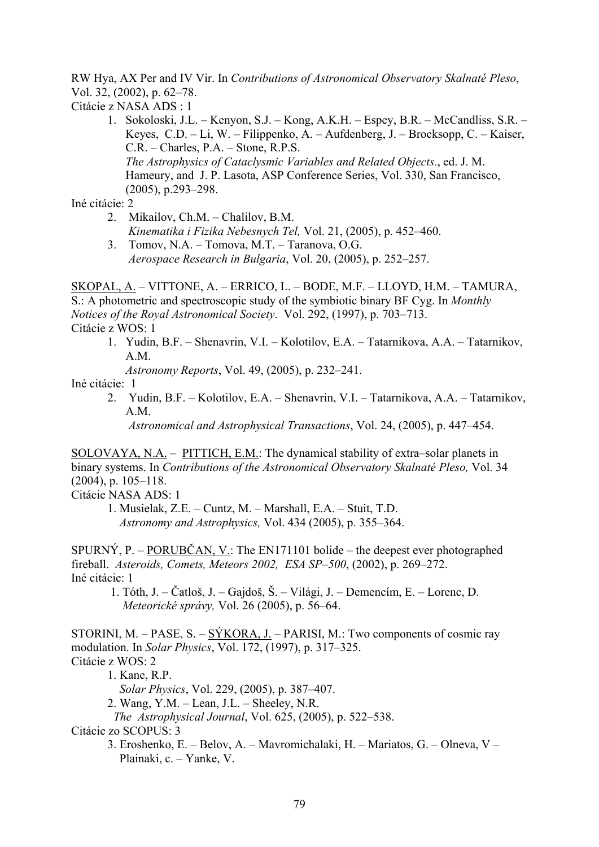RW Hya, AX Per and IV Vir. In *Contributions of Astronomical Observatory Skalnaté Pleso*, Vol. 32, (2002), p. 62–78.

Citácie z NASA ADS : 1

1. Sokoloski, J.L. – Kenyon, S.J. – Kong, A.K.H. – Espey, B.R. – McCandliss, S.R. – Keyes, C.D. – Li, W. – Filippenko, A. – Aufdenberg, J. – Brocksopp, C. – Kaiser, C.R. – Charles, P.A. – Stone, R.P.S. *The Astrophysics of Cataclysmic Variables and Related Objects.*, ed. J. M. Hameury, and J. P. Lasota, ASP Conference Series, Vol. 330, San Francisco, (2005), p.293–298.

Iné citácie: 2

- 2. Mikailov, Ch.M. Chalilov, B.M.  *Kinematika i Fizika Nebesnych Tel,* Vol. 21, (2005), p. 452–460.
- 3. Tomov, N.A. Tomova, M.T. Taranova, O.G. *Aerospace Research in Bulgaria*, Vol. 20, (2005), p. 252–257.

SKOPAL, A. – VITTONE, A. – ERRICO, L. – BODE, M.F. – LLOYD, H.M. – TAMURA, S.: A photometric and spectroscopic study of the symbiotic binary BF Cyg. In *Monthly Notices of the Royal Astronomical Society*. Vol. 292, (1997), p. 703–713. Citácie z WOS: 1

1. Yudin, B.F. – Shenavrin, V.I. – Kolotilov, E.A. – Tatarnikova, A.A. – Tatarnikov, A.M.

*Astronomy Reports*, Vol. 49, (2005), p. 232–241.

Iné citácie: 1

- 2. Yudin, B.F. Kolotilov, E.A. Shenavrin, V.I. Tatarnikova, A.A. Tatarnikov, A.M.
	- *Astronomical and Astrophysical Transactions*, Vol. 24, (2005), p. 447–454.

SOLOVAYA, N.A. – PITTICH, E.M.: The dynamical stability of extra–solar planets in binary systems. In *Contributions of the Astronomical Observatory Skalnaté Pleso,* Vol. 34 (2004), p. 105–118.

Citácie NASA ADS: 1

 1. Musielak, Z.E. – Cuntz, M. – Marshall, E.A. – Stuit, T.D. *Astronomy and Astrophysics,* Vol. 434 (2005), p. 355–364.

SPURNÝ, P. – PORUBČAN, V.: The EN171101 bolide – the deepest ever photographed fireball. *Asteroids, Comets, Meteors 2002, ESA SP–500*, (2002), p. 269–272. Iné citácie: 1

 1. Tóth, J. – Čatloš, J. – Gajdoš, Š. – Világi, J. – Demencím, E. – Lorenc, D. *Meteorické správy,* Vol. 26 (2005), p. 56–64.

STORINI, M. – PASE, S. – SÝKORA, J. – PARISI, M.: Two components of cosmic ray modulation. In *Solar Physics*, Vol. 172, (1997), p. 317–325. Citácie z WOS: 2

1. Kane, R.P.

*Solar Physics*, Vol. 229, (2005), p. 387–407.

2. Wang, Y.M. – Lean, J.L. – Sheeley, N.R.

*The Astrophysical Journal*, Vol. 625, (2005), p. 522–538.

Citácie zo SCOPUS: 3

 3. Eroshenko, E. – Belov, A. – Mavromichalaki, H. – Mariatos, G. – Olneva, V – Plainaki, c. – Yanke, V.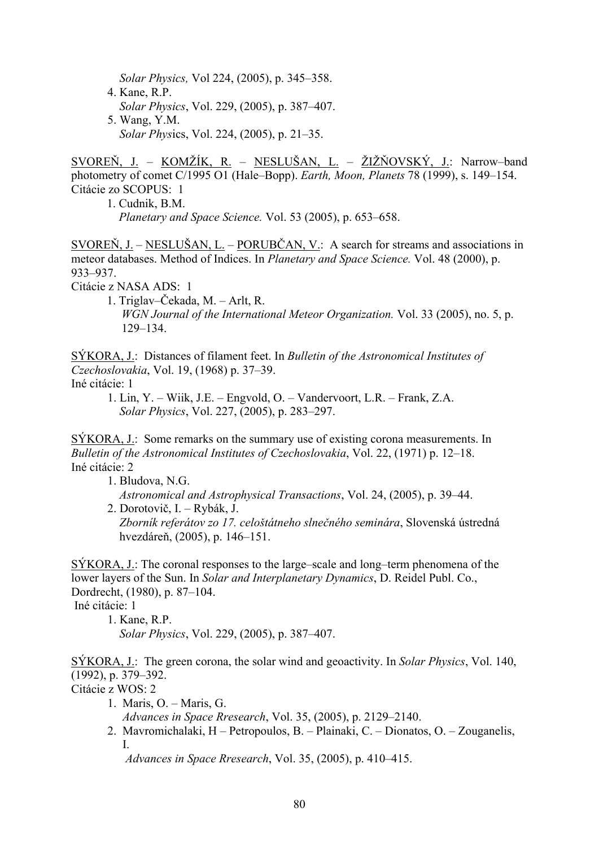*Solar Physics,* Vol 224, (2005), p. 345–358. 4. Kane, R.P. *Solar Physics*, Vol. 229, (2005), p. 387–407. 5. Wang, Y.M. *Solar Phys*ics, Vol. 224, (2005), p. 21–35.

SVOREŇ, J. – KOMŽÍK, R. – NESLUŠAN, L. – ŽIŽŇOVSKÝ, J.: Narrow–band photometry of comet C/1995 O1 (Hale–Bopp). *Earth, Moon, Planets* 78 (1999), s. 149–154. Citácie zo SCOPUS: 1

1. Cudnik, B.M. *Planetary and Space Science.* Vol. 53 (2005), p. 653–658.

SVOREŇ, J. – NESLUŠAN, L. – PORUBČAN, V.: A search for streams and associations in meteor databases. Method of Indices. In *Planetary and Space Science.* Vol. 48 (2000), p. 933–937.

Citácie z NASA ADS: 1

1. Triglav–Čekada, M. – Arlt, R. *WGN Journal of the International Meteor Organization.* Vol. 33 (2005), no. 5, p. 129–134.

SÝKORA, J.: Distances of filament feet. In *Bulletin of the Astronomical Institutes of Czechoslovakia*, Vol. 19, (1968) p. 37–39.

Iné citácie: 1

1. Lin, Y. – Wiik, J.E. – Engvold, O. – Vandervoort, L.R. – Frank, Z.A. *Solar Physics*, Vol. 227, (2005), p. 283–297.

SÝKORA, J.: Some remarks on the summary use of existing corona measurements. In *Bulletin of the Astronomical Institutes of Czechoslovakia*, Vol. 22, (1971) p. 12–18. Iné citácie: 2

1. Bludova, N.G.

 *Astronomical and Astrophysical Transactions*, Vol. 24, (2005), p. 39–44. 2. Dorotovič, I. – Rybák, J.

 *Zborník referátov zo 17. celoštátneho slnečného seminára*, Slovenská ústredná hvezdáreň, (2005), p. 146–151.

SÝKORA, J.: The coronal responses to the large–scale and long–term phenomena of the lower layers of the Sun. In *Solar and Interplanetary Dynamics*, D. Reidel Publ. Co., Dordrecht, (1980), p. 87–104.

Iné citácie: 1

1. Kane, R.P. *Solar Physics*, Vol. 229, (2005), p. 387–407.

SÝKORA, J.: The green corona, the solar wind and geoactivity. In *Solar Physics*, Vol. 140, (1992), p. 379–392.

Citácie z WOS: 2

1. Maris, O. – Maris, G.

*Advances in Space Rresearch*, Vol. 35, (2005), p. 2129–2140.

 2. Mavromichalaki, H – Petropoulos, B. – Plainaki, C. – Dionatos, O. – Zouganelis, I.

*Advances in Space Rresearch*, Vol. 35, (2005), p. 410–415.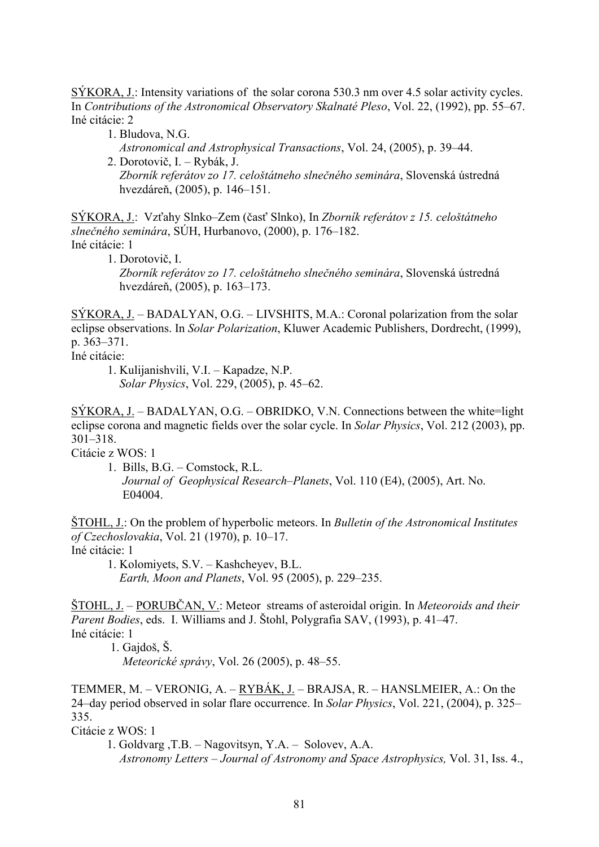SÝKORA, J.: Intensity variations of the solar corona 530.3 nm over 4.5 solar activity cycles. In *Contributions of the Astronomical Observatory Skalnaté Pleso*, Vol. 22, (1992), pp. 55–67. Iné citácie: 2

- 1. Bludova, N.G.
	- *Astronomical and Astrophysical Transactions*, Vol. 24, (2005), p. 39–44.

2. Dorotovič, I. – Rybák, J. *Zborník referátov zo 17. celoštátneho slnečného seminára*, Slovenská ústredná hvezdáreň, (2005), p. 146–151.

SÝKORA, J.: Vzťahy Slnko–Zem (časť Slnko), In *Zborník referátov z 15. celoštátneho slnečného seminára*, SÚH, Hurbanovo, (2000), p. 176–182. Iné citácie: 1

1. Dorotovič, I. *Zborník referátov zo 17. celoštátneho slnečného seminára*, Slovenská ústredná hvezdáreň, (2005), p. 163–173.

SÝKORA, J. – BADALYAN, O.G. – LIVSHITS, M.A.: Coronal polarization from the solar eclipse observations. In *Solar Polarization*, Kluwer Academic Publishers, Dordrecht, (1999), p. 363–371.

Iné citácie:

1. Kulijanishvili, V.I. – Kapadze, N.P. *Solar Physics*, Vol. 229, (2005), p. 45–62.

 $SÝKORA, J. - BADALYAN, O.G. - OBRIDKO, V.N. Connections between the white-light$ eclipse corona and magnetic fields over the solar cycle. In *Solar Physics*, Vol. 212 (2003), pp. 301–318.

Citácie z WOS: 1

 1. Bills, B.G. – Comstock, R.L. *Journal of Geophysical Research–Planets*, Vol. 110 (E4), (2005), Art. No. E04004.

ŠTOHL, J.: On the problem of hyperbolic meteors. In *Bulletin of the Astronomical Institutes of Czechoslovakia*, Vol. 21 (1970), p. 10–17. Iné citácie: 1

 1. Kolomiyets, S.V. – Kashcheyev, B.L. *Earth, Moon and Planets*, Vol. 95 (2005), p. 229–235.

ŠTOHL, J. – PORUBČAN, V.: Meteor streams of asteroidal origin. In *Meteoroids and their Parent Bodies*, eds. I. Williams and J. Štohl, Polygrafia SAV, (1993), p. 41–47. Iné citácie: 1

1. Gajdoš, Š.

*Meteorické správy*, Vol. 26 (2005), p. 48–55.

TEMMER, M. – VERONIG, A. – RYBÁK, J. – BRAJSA, R. – HANSLMEIER, A.: On the 24–day period observed in solar flare occurrence. In *Solar Physics*, Vol. 221, (2004), p. 325– 335.

Citácie z WOS: 1

1. Goldvarg ,T.B. – Nagovitsyn, Y.A. – Solovev, A.A. *Astronomy Letters – Journal of Astronomy and Space Astrophysics,* Vol. 31, Iss. 4.,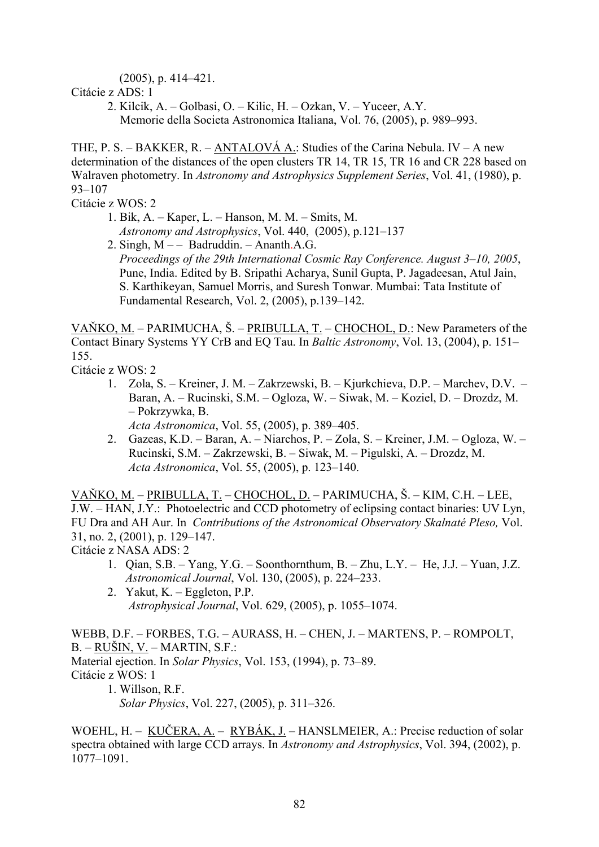(2005), p. 414–421.

Citácie z ADS: 1

 2. Kilcik, A. – Golbasi, O. – Kilic, H. – Ozkan, V. – Yuceer, A.Y. Memorie della Societa Astronomica Italiana, Vol. 76, (2005), p. 989–993.

THE, P. S. – BAKKER, R. – ANTALOVÁ A.: Studies of the Carina Nebula. IV – A new determination of the distances of the open clusters TR 14, TR 15, TR 16 and CR 228 based on Walraven photometry. In *Astronomy and Astrophysics Supplement Series*, Vol. 41, (1980), p. 93–107

Citácie z WOS: 2

- 1. Bik, A. Kaper, L. Hanson, M. M. Smits, M. *Astronomy and Astrophysics*, Vol. 440, (2005), p.121–137
- 2. Singh,  $M -$  Badruddin. Ananth.A.G. *Proceedings of the 29th International Cosmic Ray Conference. August 3–10, 2005*, Pune, India. Edited by B. Sripathi Acharya, Sunil Gupta, P. Jagadeesan, Atul Jain, S. Karthikeyan, Samuel Morris, and Suresh Tonwar. Mumbai: Tata Institute of Fundamental Research, Vol. 2, (2005), p.139–142.

VAŇKO, M. – PARIMUCHA, Š. – PRIBULLA, T. – CHOCHOL, D.: New Parameters of the Contact Binary Systems YY CrB and EQ Tau. In *Baltic Astronomy*, Vol. 13, (2004), p. 151– 155.

Citácie z WOS: 2

- 1. [Zola, S.](http://apps.isiknowledge.com/WoS/CIW.cgi?SID=V1@fCoNhad3NnbG9pkH&Func=OneClickSearch&field=AU&val=Zola+S&ut=000234776100005&auloc=1&curr_doc=6/1&Form=FullRecordPage&doc=6/1) [Kreiner, J. M.](http://apps.isiknowledge.com/WoS/CIW.cgi?SID=V1@fCoNhad3NnbG9pkH&Func=OneClickSearch&field=AU&val=Kreiner+JM&ut=000234776100005&auloc=2&curr_doc=6/1&Form=FullRecordPage&doc=6/1) – [Zakrzewski, B](http://apps.isiknowledge.com/WoS/CIW.cgi?SID=V1@fCoNhad3NnbG9pkH&Func=OneClickSearch&field=AU&val=Zakrzewski+B&ut=000234776100005&auloc=3&curr_doc=6/1&Form=FullRecordPage&doc=6/1). – [Kjurkchieva, D.P](http://apps.isiknowledge.com/WoS/CIW.cgi?SID=V1@fCoNhad3NnbG9pkH&Func=OneClickSearch&field=AU&val=Kjurkchieva+DP&ut=000234776100005&auloc=4&curr_doc=6/1&Form=FullRecordPage&doc=6/1). – [Marchev, D.V](http://apps.isiknowledge.com/WoS/CIW.cgi?SID=V1@fCoNhad3NnbG9pkH&Func=OneClickSearch&field=AU&val=Marchev+DV&ut=000234776100005&auloc=5&curr_doc=6/1&Form=FullRecordPage&doc=6/1). [Baran, A](http://apps.isiknowledge.com/WoS/CIW.cgi?SID=V1@fCoNhad3NnbG9pkH&Func=OneClickSearch&field=AU&val=Baran+A&ut=000234776100005&auloc=6&curr_doc=6/1&Form=FullRecordPage&doc=6/1). – [Rucinski, S.M](http://apps.isiknowledge.com/WoS/CIW.cgi?SID=V1@fCoNhad3NnbG9pkH&Func=OneClickSearch&field=AU&val=Rucinski+SM&ut=000234776100005&auloc=7&curr_doc=6/1&Form=FullRecordPage&doc=6/1). – [Ogloza, W](http://apps.isiknowledge.com/WoS/CIW.cgi?SID=V1@fCoNhad3NnbG9pkH&Func=OneClickSearch&field=AU&val=Ogloza+W&ut=000234776100005&auloc=8&curr_doc=6/1&Form=FullRecordPage&doc=6/1). – Siwak, M. – Koziel, D. – [Drozdz, M.](http://apps.isiknowledge.com/WoS/CIW.cgi?SID=V1@fCoNhad3NnbG9pkH&Func=OneClickSearch&field=AU&val=Drozdz+M&ut=000234776100005&auloc=11&curr_doc=6/1&Form=FullRecordPage&doc=6/1) – [Pokrzywka, B.](http://apps.isiknowledge.com/WoS/CIW.cgi?SID=V1@fCoNhad3NnbG9pkH&Func=OneClickSearch&field=AU&val=Pokrzywka+B&ut=000234776100005&auloc=12&curr_doc=6/1&Form=FullRecordPage&doc=6/1) *Acta Astronomica*, Vol. 55, (2005), p. 389–405.
- 2. [Gazeas, K.D.](http://apps.isiknowledge.com/WoS/CIW.cgi?SID=V1@fCoNhad3NnbG9pkH&Func=OneClickSearch&field=AU&val=Gazeas+KD&ut=000228220800006&auloc=1&curr_doc=13/2&Form=FullRecordPage&doc=13/2) [Baran, A](http://apps.isiknowledge.com/WoS/CIW.cgi?SID=V1@fCoNhad3NnbG9pkH&Func=OneClickSearch&field=AU&val=Baran+A&ut=000228220800006&auloc=2&curr_doc=13/2&Form=FullRecordPage&doc=13/2). – [Niarchos, P](http://apps.isiknowledge.com/WoS/CIW.cgi?SID=V1@fCoNhad3NnbG9pkH&Func=OneClickSearch&field=AU&val=Niarchos+P&ut=000228220800006&auloc=3&curr_doc=13/2&Form=FullRecordPage&doc=13/2). – [Zola, S.](http://apps.isiknowledge.com/WoS/CIW.cgi?SID=V1@fCoNhad3NnbG9pkH&Func=OneClickSearch&field=AU&val=Zola+S&ut=000228220800006&auloc=4&curr_doc=13/2&Form=FullRecordPage&doc=13/2) [Kreiner, J.M.](http://apps.isiknowledge.com/WoS/CIW.cgi?SID=V1@fCoNhad3NnbG9pkH&Func=OneClickSearch&field=AU&val=Kreiner+JM&ut=000228220800006&auloc=5&curr_doc=13/2&Form=FullRecordPage&doc=13/2) [Ogloza, W.](http://apps.isiknowledge.com/WoS/CIW.cgi?SID=V1@fCoNhad3NnbG9pkH&Func=OneClickSearch&field=AU&val=Ogloza+W&ut=000228220800006&auloc=6&curr_doc=13/2&Form=FullRecordPage&doc=13/2) [Rucinski, S.M.](http://apps.isiknowledge.com/WoS/CIW.cgi?SID=V1@fCoNhad3NnbG9pkH&Func=OneClickSearch&field=AU&val=Rucinski+SM&ut=000228220800006&auloc=7&curr_doc=13/2&Form=FullRecordPage&doc=13/2) – [Zakrzewski, B.](http://apps.isiknowledge.com/WoS/CIW.cgi?SID=V1@fCoNhad3NnbG9pkH&Func=OneClickSearch&field=AU&val=Zakrzewski+B&ut=000228220800006&auloc=8&curr_doc=13/2&Form=FullRecordPage&doc=13/2) – [Siwak, M](http://apps.isiknowledge.com/WoS/CIW.cgi?SID=V1@fCoNhad3NnbG9pkH&Func=OneClickSearch&field=AU&val=Siwak+M&ut=000228220800006&auloc=9&curr_doc=13/2&Form=FullRecordPage&doc=13/2). – [Pigulski, A.](http://apps.isiknowledge.com/WoS/CIW.cgi?SID=V1@fCoNhad3NnbG9pkH&Func=OneClickSearch&field=AU&val=Pigulski+A&ut=000228220800006&auloc=10&curr_doc=13/2&Form=FullRecordPage&doc=13/2) – [Drozdz, M.](http://apps.isiknowledge.com/WoS/CIW.cgi?SID=V1@fCoNhad3NnbG9pkH&Func=OneClickSearch&field=AU&val=Drozdz+M&ut=000228220800006&auloc=11&curr_doc=13/2&Form=FullRecordPage&doc=13/2) *Acta Astronomica*, Vol. 55, (2005), p. 123–140.

VAŇKO, M. – PRIBULLA, T. – CHOCHOL, D. – PARIMUCHA, Š. – KIM, C.H. – LEE, J.W. – HAN, J.Y.: Photoelectric and CCD photometry of eclipsing contact binaries: UV Lyn, FU Dra and AH Aur. In *Contributions of the Astronomical Observatory Skalnaté Pleso,* Vol. 31, no. 2, (2001), p. 129–147.

Citácie z NASA ADS: 2

- 1. Qian, S.B. Yang, Y.G. Soonthornthum, B. Zhu, L.Y. He, J.J. Yuan, J.Z. *Astronomical Journal*, Vol. 130, (2005), p. 224–233.
- 2. Yakut, K. Eggleton, P.P. *Astrophysical Journal*, Vol. 629, (2005), p. 1055–1074.

WEBB, D.F. – FORBES, T.G. – AURASS, H. – CHEN, J. – MARTENS, P. – ROMPOLT, B. – RUŠIN, V. – MARTIN, S.F.: Material ejection. In *Solar Physics*, Vol. 153, (1994), p. 73–89. Citácie z WOS: 1 1. Willson, R.F.

*Solar Physics*, Vol. 227, (2005), p. 311–326.

WOEHL, H. – KUČERA, A. – RYBÁK, J. – HANSLMEIER, A.: Precise reduction of solar spectra obtained with large CCD arrays. In *Astronomy and Astrophysics*, Vol. 394, (2002), p. 1077–1091.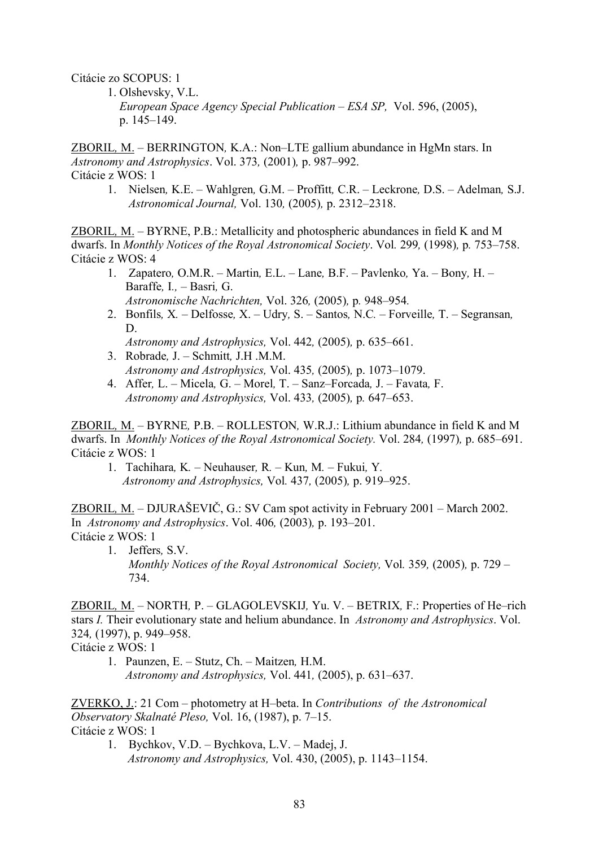Citácie zo SCOPUS: 1

 1. Olshevsky, V.L.  *European Space Agency Special Publication – ESA SP,* Vol. 596, (2005), p. 145–149.

ZBORIL*,* M. *–* BERRINGTON*,* K.A.: Non*–*LTE gallium abundance in HgMn stars. In *Astronomy and Astrophysics*. Vol. 373*,* (2001)*,* p. 987*–*992. Citácie z WOS: 1

 1. Nielsen*,* K.E. *–* Wahlgren*,* G.M. *–* Proffitt*,* C.R. *–* Leckrone*,* D.S. *–* Adelman*,* S.J.  *Astronomical Journal,* Vol. 130*,* (2005)*,* p. 2312*–*2318.

ZBORIL*,* M. *–* BYRNE, P.B.: Metallicity and photospheric abundances in field K and M dwarfs. In *Monthly Notices of the Royal Astronomical Society*. Vol*.* 299*,* (1998)*,* p*.* 753*–*758. Citácie z WOS: 4

- 1. Zapatero*,* O.M.R.Martin*,* E.L.Lane*,* B.F.Pavlenko*,* Ya.Bony*,* H. Baraffe*,* I*., –* Basri*,* G. *Astronomische Nachrichten,* Vol. 326*,* (2005)*,* p*.* 948*–*954*.*
- 2. Bonfils*,* X*.* Delfosse*,* X.Udry*,* S.Santos*,* N.C*.* Forveille*,* T. Segransan*,*  D.

*Astronomy and Astrophysics,* Vol. 442*,* (2005)*,* p. 635*–*661.

- 3. Robrade*,* J. Schmitt*,* J.H .M.M. *Astronomy and Astrophysics,* Vol. 435*,* (2005)*,* p. 1073*–*1079.
- 4. Affer*,* L. Micela*,* G.Morel*,* T.Sanz*–*Forcada*,* J.Favata*,* F. *Astronomy and Astrophysics,* Vol. 433*,* (2005)*,* p*.* 647*–*653.

ZBORIL*,* M. *–* BYRNE*,* P.B. *–* ROLLESTON*,* W.R.J.: Lithium abundance in field K and M dwarfs. In *Monthly Notices of the Royal Astronomical Society.* Vol. 284*,* (1997)*,* p. 685*–*691. Citácie z WOS: 1

1. Tachihara*,* K*. –* Neuhauser*,* R*. –* Kun*,* M*. –* Fukui*,* Y*. Astronomy and Astrophysics,* Vol*.* 437*,* (2005)*,* p. 919*–*925.

ZBORIL*,* M. *–* DJURAŠEVIČ, G.: SV Cam spot activity in February 2001 *–* March 2002. In *Astronomy and Astrophysics*. Vol. 406*,* (2003)*,* p. 193*–*201. Citácie z WOS: 1

 1. Jeffers*,* S.V.  *Monthly Notices of the Royal Astronomical Society,* Vol*.* 359*,* (2005)*,* p. 729 *–*  734.

ZBORIL*,* M. *–* NORTH*,* P. *–* GLAGOLEVSKIJ*,* Yu. V. *–* BETRIX*,* F.: Properties of He*–*rich stars *I.* Their evolutionary state and helium abundance. In *Astronomy and Astrophysics*. Vol. 324*,* (1997), p. 949–958.

Citácie z WOS: 1

1. Paunzen, E. *–* Stutz, Ch. *–* Maitzen*,* H.M. *Astronomy and Astrophysics,* Vol. 441*,* (2005), p. 631–637.

ZVERKO, J.: 21 Com – photometry at H–beta. In *Contributions of the Astronomical Observatory Skalnaté Pleso,* Vol. 16, (1987), p. 7–15. Citácie z WOS: 1

 1. Bychkov, V.D. – Bychkova, L.V. – Madej, J. *Astronomy and Astrophysics,* Vol. 430, (2005), p. 1143–1154.